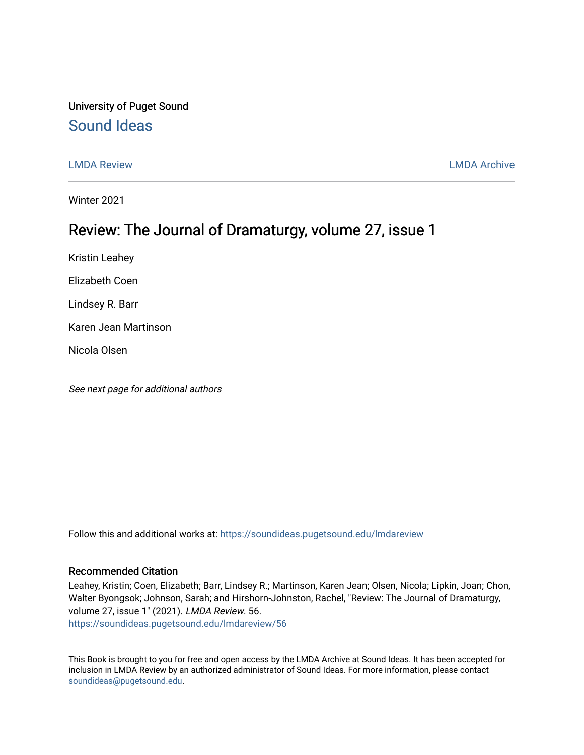# University of Puget Sound [Sound Ideas](https://soundideas.pugetsound.edu/)

[LMDA Review](https://soundideas.pugetsound.edu/lmdareview) [LMDA Archive](https://soundideas.pugetsound.edu/lmdaarchive) 

Winter 2021

# Review: The Journal of Dramaturgy, volume 27, issue 1

Kristin Leahey

Elizabeth Coen

Lindsey R. Barr

Karen Jean Martinson

Nicola Olsen

See next page for additional authors

Follow this and additional works at: [https://soundideas.pugetsound.edu/lmdareview](https://soundideas.pugetsound.edu/lmdareview?utm_source=soundideas.pugetsound.edu%2Flmdareview%2F56&utm_medium=PDF&utm_campaign=PDFCoverPages)

#### Recommended Citation

Leahey, Kristin; Coen, Elizabeth; Barr, Lindsey R.; Martinson, Karen Jean; Olsen, Nicola; Lipkin, Joan; Chon, Walter Byongsok; Johnson, Sarah; and Hirshorn-Johnston, Rachel, "Review: The Journal of Dramaturgy, volume 27, issue 1" (2021). LMDA Review. 56. [https://soundideas.pugetsound.edu/lmdareview/56](https://soundideas.pugetsound.edu/lmdareview/56?utm_source=soundideas.pugetsound.edu%2Flmdareview%2F56&utm_medium=PDF&utm_campaign=PDFCoverPages) 

This Book is brought to you for free and open access by the LMDA Archive at Sound Ideas. It has been accepted for inclusion in LMDA Review by an authorized administrator of Sound Ideas. For more information, please contact [soundideas@pugetsound.edu](mailto:soundideas@pugetsound.edu).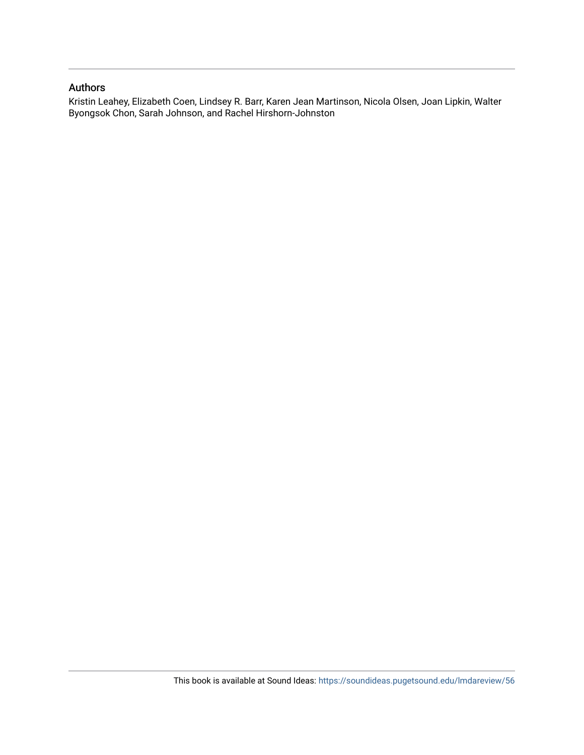### Authors

Kristin Leahey, Elizabeth Coen, Lindsey R. Barr, Karen Jean Martinson, Nicola Olsen, Joan Lipkin, Walter Byongsok Chon, Sarah Johnson, and Rachel Hirshorn-Johnston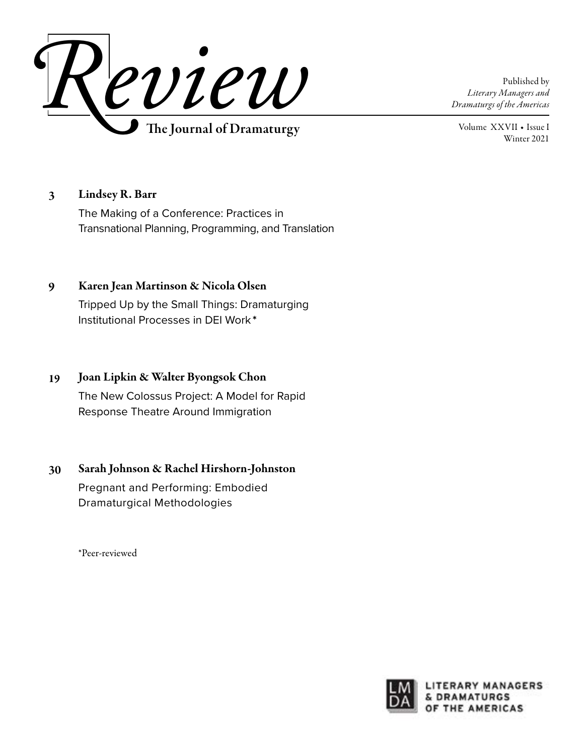

Published by *Literary Managers and Dramaturgs of the Americas*

Volume XXVII ◆ Issue I Winter 2021

#### Lindsey R. Barr 3

The Making of a Conference: Practices in Transnational Planning, Programming, and Translation

#### Karen Jean Martinson & Nicola Olsen 9

Tripped Up by the Small Things: Dramaturging Institutional Processes in DEI Work **\***

### Joan Lipkin & Walter Byongsok Chon The New Colossus Project: A Model for Rapid Response Theatre Around Immigration 19

#### Sarah Johnson & Rachel Hirshorn-Johnston 30

Pregnant and Performing: Embodied Dramaturgical Methodologies

\*Peer-reviewed

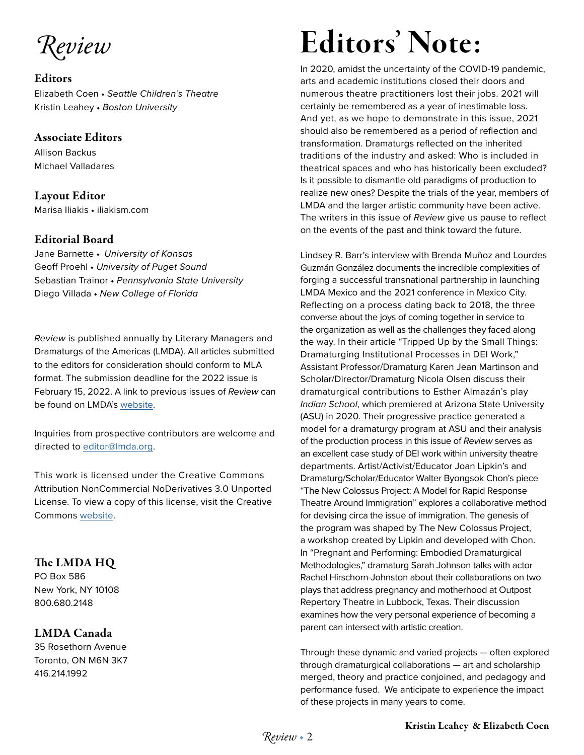*Review*

### **Editors**

Elizabeth Coen ◆ *Seattle Children's Theatre* Kristin Leahey ◆ *Boston University*

## Associate Editors

Allison Backus Michael Valladares

# Layout Editor

Marisa Iliakis ◆ iliakism.com

## Editorial Board

Jane Barnette ◆ *University of Kansas* Geoff Proehl ◆ *University of Puget Sound* Sebastian Trainor ◆ *Pennsylvania State University* Diego Villada ◆ *New College of Florida*

*Review* is published annually by Literary Managers and Dramaturgs of the Americas (LMDA). All articles submitted to the editors for consideration should conform to MLA format. The submission deadline for the 2022 issue is February 15, 2022. A link to previous issues of *Review* can be found on LMDA's [website](https://lmda.org/review-0).

Inquiries from prospective contributors are welcome and directed to [editor@lmda.org](mailto:editor%40lmda.org?subject=Contribution%20Inquiry).

This work is licensed under the Creative Commons Attribution NonCommercial NoDerivatives 3.0 Unported License. To view a copy of this license, visit the Creative Commons [website.](https://creativecommons.org/licenses/by-nc-nd/3.0/)

# The LMDA HQ

PO Box 586 New York, NY 10108 800.680.2148

# LMDA Canada

35 Rosethorn Avenue Toronto, ON M6N 3K7 416.214.1992

# Editors' Note:

In 2020, amidst the uncertainty of the COVID-19 pandemic, arts and academic institutions closed their doors and numerous theatre practitioners lost their jobs. 2021 will certainly be remembered as a year of inestimable loss. And yet, as we hope to demonstrate in this issue, 2021 should also be remembered as a period of reflection and transformation. Dramaturgs reflected on the inherited traditions of the industry and asked: Who is included in theatrical spaces and who has historically been excluded? Is it possible to dismantle old paradigms of production to realize new ones? Despite the trials of the year, members of LMDA and the larger artistic community have been active. The writers in this issue of *Review* give us pause to reflect on the events of the past and think toward the future.

Lindsey R. Barr's interview with Brenda Muñoz and Lourdes Guzmán González documents the incredible complexities of forging a successful transnational partnership in launching LMDA Mexico and the 2021 conference in Mexico City. Reflecting on a process dating back to 2018, the three converse about the joys of coming together in service to the organization as well as the challenges they faced along the way. In their article "Tripped Up by the Small Things: Dramaturging Institutional Processes in DEI Work," Assistant Professor/Dramaturg Karen Jean Martinson and Scholar/Director/Dramaturg Nicola Olsen discuss their dramaturgical contributions to Esther Almazán's play *Indian School*, which premiered at Arizona State University (ASU) in 2020. Their progressive practice generated a model for a dramaturgy program at ASU and their analysis of the production process in this issue of *Review* serves as an excellent case study of DEI work within university theatre departments. Artist/Activist/Educator Joan Lipkin's and Dramaturg/Scholar/Educator Walter Byongsok Chon's piece "The New Colossus Project: A Model for Rapid Response Theatre Around Immigration" explores a collaborative method for devising circa the issue of immigration. The genesis of the program was shaped by The New Colossus Project, a workshop created by Lipkin and developed with Chon. In "Pregnant and Performing: Embodied Dramaturgical Methodologies," dramaturg Sarah Johnson talks with actor Rachel Hirschorn-Johnston about their collaborations on two plays that address pregnancy and motherhood at Outpost Repertory Theatre in Lubbock, Texas. Their discussion examines how the very personal experience of becoming a parent can intersect with artistic creation.

Through these dynamic and varied projects — often explored through dramaturgical collaborations — art and scholarship merged, theory and practice conjoined, and pedagogy and performance fused. We anticipate to experience the impact of these projects in many years to come.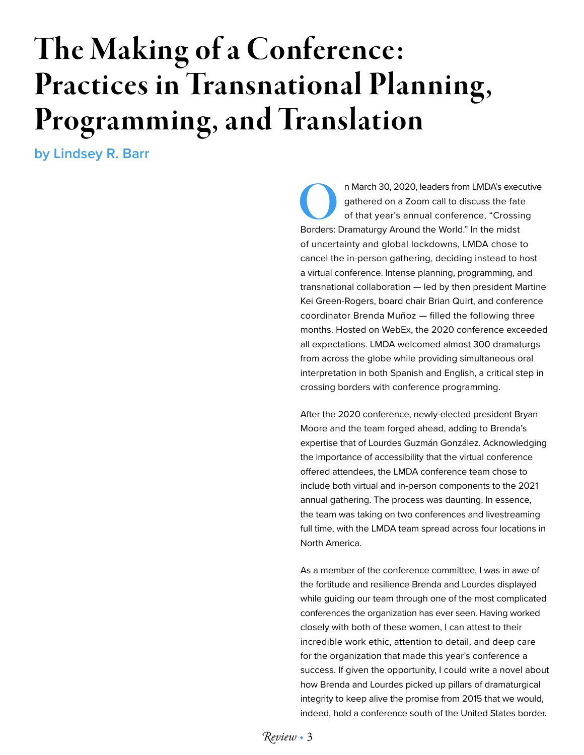# The Making of a Conference: Practices in Transnational Planning, Programming, and Translation

**by Lindsey R. Barr**

n March 30, 2020, leaders from LMDA's executive<br>
gathered on a Zoom call to discuss the fate<br>
of that year's annual conference, "Crossing<br>
Borders: Dramaturgy Around the World." In the midst gathered on a Zoom call to discuss the fate of that year's annual conference, "Crossing of uncertainty and global lockdowns, LMDA chose to cancel the in-person gathering, deciding instead to host a virtual conference. Intense planning, programming, and transnational collaboration — led by then president Martine Kei Green-Rogers, board chair Brian Quirt, and conference coordinator Brenda Muñoz — filled the following three months. Hosted on WebEx, the 2020 conference exceeded all expectations. LMDA welcomed almost 300 dramaturgs from across the globe while providing simultaneous oral interpretation in both Spanish and English, a critical step in crossing borders with conference programming.

After the 2020 conference, newly-elected president Bryan Moore and the team forged ahead, adding to Brenda's expertise that of Lourdes Guzmán González. Acknowledging the importance of accessibility that the virtual conference offered attendees, the LMDA conference team chose to include both virtual and in-person components to the 2021 annual gathering. The process was daunting. In essence, the team was taking on two conferences and livestreaming full time, with the LMDA team spread across four locations in North America.

As a member of the conference committee, I was in awe of the fortitude and resilience Brenda and Lourdes displayed while guiding our team through one of the most complicated conferences the organization has ever seen. Having worked closely with both of these women, I can attest to their incredible work ethic, attention to detail, and deep care for the organization that made this year's conference a success. If given the opportunity, I could write a novel about how Brenda and Lourdes picked up pillars of dramaturgical integrity to keep alive the promise from 2015 that we would, indeed, hold a conference south of the United States border.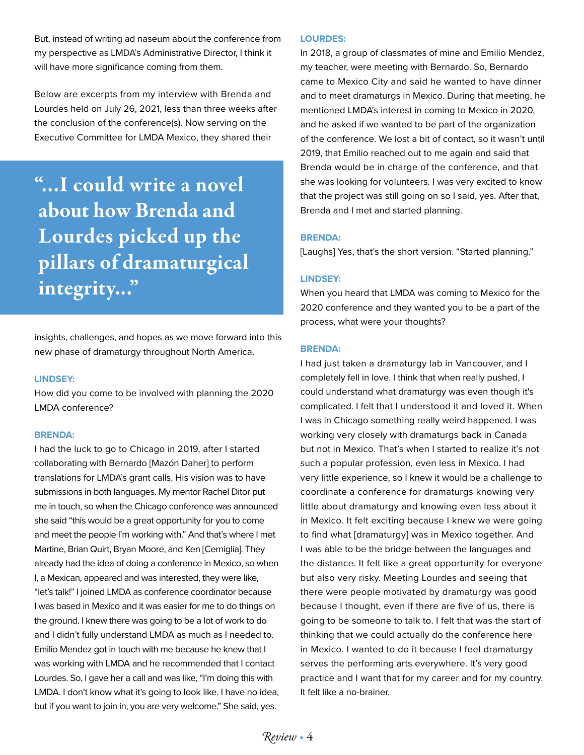But, instead of writing ad naseum about the conference from my perspective as LMDA's Administrative Director, I think it will have more significance coming from them.

Below are excerpts from my interview with Brenda and Lourdes held on July 26, 2021, less than three weeks after the conclusion of the conference(s). Now serving on the Executive Committee for LMDA Mexico, they shared their

"...I could write a novel about how Brenda and Lourdes picked up the pillars of dramaturgical integrity..."

insights, challenges, and hopes as we move forward into this new phase of dramaturgy throughout North America.

#### **LINDSEY:**

How did you come to be involved with planning the 2020 LMDA conference?

#### **BRENDA:**

I had the luck to go to Chicago in 2019, after I started collaborating with Bernardo [Mazón Daher] to perform translations for LMDA's grant calls. His vision was to have submissions in both languages. My mentor Rachel Ditor put me in touch, so when the Chicago conference was announced she said "this would be a great opportunity for you to come and meet the people I'm working with." And that's where I met Martine, Brian Quirt, Bryan Moore, and Ken [Cerniglia]. They already had the idea of doing a conference in Mexico, so when I, a Mexican, appeared and was interested, they were like, "let's talk!" I joined LMDA as conference coordinator because I was based in Mexico and it was easier for me to do things on the ground. I knew there was going to be a lot of work to do and I didn't fully understand LMDA as much as I needed to. Emilio Mendez got in touch with me because he knew that I was working with LMDA and he recommended that I contact Lourdes. So, I gave her a call and was like, "I'm doing this with LMDA. I don't know what it's going to look like. I have no idea, but if you want to join in, you are very welcome." She said, yes.

#### **LOURDES:**

In 2018, a group of classmates of mine and Emilio Mendez, my teacher, were meeting with Bernardo. So, Bernardo came to Mexico City and said he wanted to have dinner and to meet dramaturgs in Mexico. During that meeting, he mentioned LMDA's interest in coming to Mexico in 2020, and he asked if we wanted to be part of the organization of the conference. We lost a bit of contact, so it wasn't until 2019, that Emilio reached out to me again and said that Brenda would be in charge of the conference, and that she was looking for volunteers. I was very excited to know that the project was still going on so I said, yes. After that, Brenda and I met and started planning.

#### **BRENDA:**

[Laughs] Yes, that's the short version. "Started planning."

#### **LINDSEY:**

When you heard that LMDA was coming to Mexico for the 2020 conference and they wanted you to be a part of the process, what were your thoughts?

#### **BRENDA:**

I had just taken a dramaturgy lab in Vancouver, and I completely fell in love. I think that when really pushed, I could understand what dramaturgy was even though it's complicated. I felt that I understood it and loved it. When I was in Chicago something really weird happened. I was working very closely with dramaturgs back in Canada but not in Mexico. That's when I started to realize it's not such a popular profession, even less in Mexico. I had very little experience, so I knew it would be a challenge to coordinate a conference for dramaturgs knowing very little about dramaturgy and knowing even less about it in Mexico. It felt exciting because I knew we were going to find what [dramaturgy] was in Mexico together. And I was able to be the bridge between the languages and the distance. It felt like a great opportunity for everyone but also very risky. Meeting Lourdes and seeing that there were people motivated by dramaturgy was good because I thought, even if there are five of us, there is going to be someone to talk to. I felt that was the start of thinking that we could actually do the conference here in Mexico. I wanted to do it because I feel dramaturgy serves the performing arts everywhere. It's very good practice and I want that for my career and for my country. It felt like a no-brainer.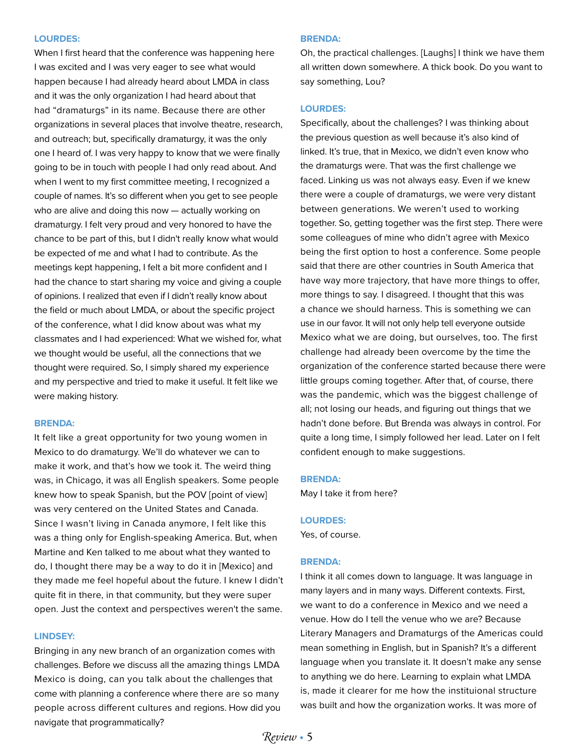#### **LOURDES:**

When I first heard that the conference was happening here I was excited and I was very eager to see what would happen because I had already heard about LMDA in class and it was the only organization I had heard about that had "dramaturgs" in its name. Because there are other organizations in several places that involve theatre, research, and outreach; but, specifically dramaturgy, it was the only one I heard of. I was very happy to know that we were finally going to be in touch with people I had only read about. And when I went to my first committee meeting, I recognized a couple of names. It's so different when you get to see people who are alive and doing this now — actually working on dramaturgy. I felt very proud and very honored to have the chance to be part of this, but I didn't really know what would be expected of me and what I had to contribute. As the meetings kept happening, I felt a bit more confident and I had the chance to start sharing my voice and giving a couple of opinions. I realized that even if I didn't really know about the field or much about LMDA, or about the specific project of the conference, what I did know about was what my classmates and I had experienced: What we wished for, what we thought would be useful, all the connections that we thought were required. So, I simply shared my experience and my perspective and tried to make it useful. It felt like we were making history.

#### **BRENDA:**

It felt like a great opportunity for two young women in Mexico to do dramaturgy. We'll do whatever we can to make it work, and that's how we took it. The weird thing was, in Chicago, it was all English speakers. Some people knew how to speak Spanish, but the POV [point of view] was very centered on the United States and Canada. Since I wasn't living in Canada anymore, I felt like this was a thing only for English-speaking America. But, when Martine and Ken talked to me about what they wanted to do, I thought there may be a way to do it in [Mexico] and they made me feel hopeful about the future. I knew I didn't quite fit in there, in that community, but they were super open. Just the context and perspectives weren't the same.

#### **LINDSEY:**

Bringing in any new branch of an organization comes with challenges. Before we discuss all the amazing things LMDA Mexico is doing, can you talk about the challenges that come with planning a conference where there are so many people across different cultures and regions. How did you navigate that programmatically?

#### **BRENDA:**

Oh, the practical challenges. [Laughs] I think we have them all written down somewhere. A thick book. Do you want to say something, Lou?

#### **LOURDES:**

Specifically, about the challenges? I was thinking about the previous question as well because it's also kind of linked. It's true, that in Mexico, we didn't even know who the dramaturgs were. That was the first challenge we faced. Linking us was not always easy. Even if we knew there were a couple of dramaturgs, we were very distant between generations. We weren't used to working together. So, getting together was the first step. There were some colleagues of mine who didn't agree with Mexico being the first option to host a conference. Some people said that there are other countries in South America that have way more trajectory, that have more things to offer, more things to say. I disagreed. I thought that this was a chance we should harness. This is something we can use in our favor. It will not only help tell everyone outside Mexico what we are doing, but ourselves, too. The first challenge had already been overcome by the time the organization of the conference started because there were little groups coming together. After that, of course, there was the pandemic, which was the biggest challenge of all; not losing our heads, and figuring out things that we hadn't done before. But Brenda was always in control. For quite a long time, I simply followed her lead. Later on I felt confident enough to make suggestions.

#### **BRENDA:**

May I take it from here?

#### **LOURDES:**

Yes, of course.

#### **BRENDA:**

I think it all comes down to language. It was language in many layers and in many ways. Different contexts. First, we want to do a conference in Mexico and we need a venue. How do I tell the venue who we are? Because Literary Managers and Dramaturgs of the Americas could mean something in English, but in Spanish? It's a different language when you translate it. It doesn't make any sense to anything we do here. Learning to explain what LMDA is, made it clearer for me how the instituional structure was built and how the organization works. It was more of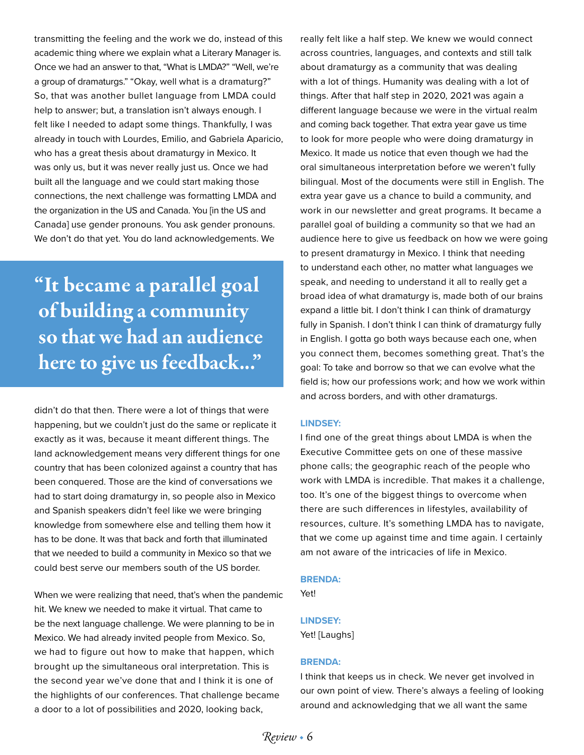transmitting the feeling and the work we do, instead of this academic thing where we explain what a Literary Manager is. Once we had an answer to that, "What is LMDA?" "Well, we're a group of dramaturgs." "Okay, well what is a dramaturg?" So, that was another bullet language from LMDA could help to answer; but, a translation isn't always enough. I felt like I needed to adapt some things. Thankfully, I was already in touch with Lourdes, Emilio, and Gabriela Aparicio, who has a great thesis about dramaturgy in Mexico. It was only us, but it was never really just us. Once we had built all the language and we could start making those connections, the next challenge was formatting LMDA and the organization in the US and Canada. You [in the US and Canada] use gender pronouns. You ask gender pronouns. We don't do that yet. You do land acknowledgements. We

"It became a parallel goal of building a community so that we had an audience here to give us feedback..."

didn't do that then. There were a lot of things that were happening, but we couldn't just do the same or replicate it exactly as it was, because it meant different things. The land acknowledgement means very different things for one country that has been colonized against a country that has been conquered. Those are the kind of conversations we had to start doing dramaturgy in, so people also in Mexico and Spanish speakers didn't feel like we were bringing knowledge from somewhere else and telling them how it has to be done. It was that back and forth that illuminated that we needed to build a community in Mexico so that we could best serve our members south of the US border.

When we were realizing that need, that's when the pandemic hit. We knew we needed to make it virtual. That came to be the next language challenge. We were planning to be in Mexico. We had already invited people from Mexico. So, we had to figure out how to make that happen, which brought up the simultaneous oral interpretation. This is the second year we've done that and I think it is one of the highlights of our conferences. That challenge became a door to a lot of possibilities and 2020, looking back,

really felt like a half step. We knew we would connect across countries, languages, and contexts and still talk about dramaturgy as a community that was dealing with a lot of things. Humanity was dealing with a lot of things. After that half step in 2020, 2021 was again a different language because we were in the virtual realm and coming back together. That extra year gave us time to look for more people who were doing dramaturgy in Mexico. It made us notice that even though we had the oral simultaneous interpretation before we weren't fully bilingual. Most of the documents were still in English. The extra year gave us a chance to build a community, and work in our newsletter and great programs. It became a parallel goal of building a community so that we had an audience here to give us feedback on how we were going to present dramaturgy in Mexico. I think that needing to understand each other, no matter what languages we speak, and needing to understand it all to really get a broad idea of what dramaturgy is, made both of our brains expand a little bit. I don't think I can think of dramaturgy fully in Spanish. I don't think I can think of dramaturgy fully in English. I gotta go both ways because each one, when you connect them, becomes something great. That's the goal: To take and borrow so that we can evolve what the field is; how our professions work; and how we work within and across borders, and with other dramaturgs.

#### **LINDSEY:**

I find one of the great things about LMDA is when the Executive Committee gets on one of these massive phone calls; the geographic reach of the people who work with LMDA is incredible. That makes it a challenge, too. It's one of the biggest things to overcome when there are such differences in lifestyles, availability of resources, culture. It's something LMDA has to navigate, that we come up against time and time again. I certainly am not aware of the intricacies of life in Mexico.

#### **BRENDA:**

Yet!

#### **LINDSEY:**

Yet! [Laughs]

#### **BRENDA:**

I think that keeps us in check. We never get involved in our own point of view. There's always a feeling of looking around and acknowledging that we all want the same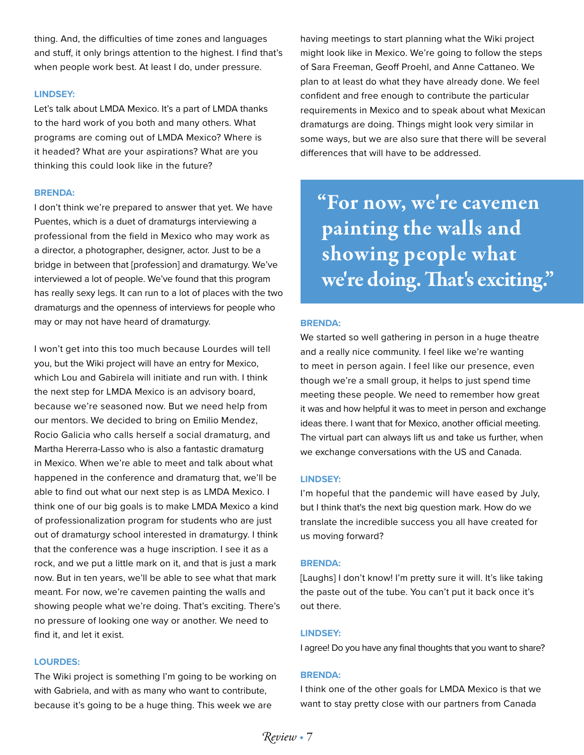thing. And, the difficulties of time zones and languages and stuff, it only brings attention to the highest. I find that's when people work best. At least I do, under pressure.

#### **LINDSEY:**

Let's talk about LMDA Mexico. It's a part of LMDA thanks to the hard work of you both and many others. What programs are coming out of LMDA Mexico? Where is it headed? What are your aspirations? What are you thinking this could look like in the future?

#### **BRENDA:**

I don't think we're prepared to answer that yet. We have Puentes, which is a duet of dramaturgs interviewing a professional from the field in Mexico who may work as a director, a photographer, designer, actor. Just to be a bridge in between that [profession] and dramaturgy. We've interviewed a lot of people. We've found that this program has really sexy legs. It can run to a lot of places with the two dramaturgs and the openness of interviews for people who may or may not have heard of dramaturgy.

I won't get into this too much because Lourdes will tell you, but the Wiki project will have an entry for Mexico, which Lou and Gabirela will initiate and run with. I think the next step for LMDA Mexico is an advisory board, because we're seasoned now. But we need help from our mentors. We decided to bring on Emilio Mendez, Rocio Galicia who calls herself a social dramaturg, and Martha Hererra-Lasso who is also a fantastic dramaturg in Mexico. When we're able to meet and talk about what happened in the conference and dramaturg that, we'll be able to find out what our next step is as LMDA Mexico. I think one of our big goals is to make LMDA Mexico a kind of professionalization program for students who are just out of dramaturgy school interested in dramaturgy. I think that the conference was a huge inscription. I see it as a rock, and we put a little mark on it, and that is just a mark now. But in ten years, we'll be able to see what that mark meant. For now, we're cavemen painting the walls and showing people what we're doing. That's exciting. There's no pressure of looking one way or another. We need to find it, and let it exist.

#### **LOURDES:**

The Wiki project is something I'm going to be working on with Gabriela, and with as many who want to contribute, because it's going to be a huge thing. This week we are

having meetings to start planning what the Wiki project might look like in Mexico. We're going to follow the steps of Sara Freeman, Geoff Proehl, and Anne Cattaneo. We plan to at least do what they have already done. We feel confident and free enough to contribute the particular requirements in Mexico and to speak about what Mexican dramaturgs are doing. Things might look very similar in some ways, but we are also sure that there will be several differences that will have to be addressed.

"For now, we're cavemen painting the walls and showing people what we're doing. That's exciting."

#### **BRENDA:**

We started so well gathering in person in a huge theatre and a really nice community. I feel like we're wanting to meet in person again. I feel like our presence, even though we're a small group, it helps to just spend time meeting these people. We need to remember how great it was and how helpful it was to meet in person and exchange ideas there. I want that for Mexico, another official meeting. The virtual part can always lift us and take us further, when we exchange conversations with the US and Canada.

#### **LINDSEY:**

I'm hopeful that the pandemic will have eased by July, but I think that's the next big question mark. How do we translate the incredible success you all have created for us moving forward?

#### **BRENDA:**

[Laughs] I don't know! I'm pretty sure it will. It's like taking the paste out of the tube. You can't put it back once it's out there.

#### **LINDSEY:**

I agree! Do you have any final thoughts that you want to share?

#### **BRENDA:**

I think one of the other goals for LMDA Mexico is that we want to stay pretty close with our partners from Canada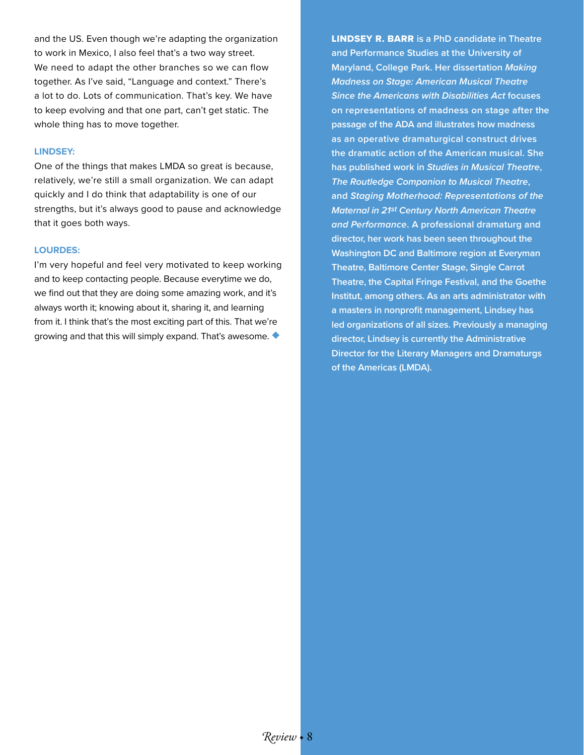and the US. Even though we're adapting the organization to work in Mexico, I also feel that's a two way street. We need to adapt the other branches so we can flow together. As I've said, "Language and context." There's a lot to do. Lots of communication. That's key. We have to keep evolving and that one part, can't get static. The whole thing has to move together.

#### **LINDSEY:**

One of the things that makes LMDA so great is because, relatively, we're still a small organization. We can adapt quickly and I do think that adaptability is one of our strengths, but it's always good to pause and acknowledge that it goes both ways.

#### **LOURDES:**

I'm very hopeful and feel very motivated to keep working and to keep contacting people. Because everytime we do, we find out that they are doing some amazing work, and it's always worth it; knowing about it, sharing it, and learning from it. I think that's the most exciting part of this. That we're growing and that this will simply expand. That's awesome. ◆

LINDSEY R. BARR **is a PhD candidate in Theatre and Performance Studies at the University of Maryland, College Park. Her dissertation** *Making Madness on Stage: American Musical Theatre Since the Americans with Disabilities Act* **focuses on representations of madness on stage after the passage of the ADA and illustrates how madness as an operative dramaturgical construct drives the dramatic action of the American musical. She has published work in** *Studies in Musical Theatre***,**  *The Routledge Companion to Musical Theatre***, and** *Staging Motherhood: Representations of the Maternal in 21st Century North American Theatre and Performance***. A professional dramaturg and director, her work has been seen throughout the Washington DC and Baltimore region at Everyman Theatre, Baltimore Center Stage, Single Carrot Theatre, the Capital Fringe Festival, and the Goethe Institut, among others. As an arts administrator with a masters in nonprofit management, Lindsey has led organizations of all sizes. Previously a managing director, Lindsey is currently the Administrative Director for the Literary Managers and Dramaturgs of the Americas (LMDA).**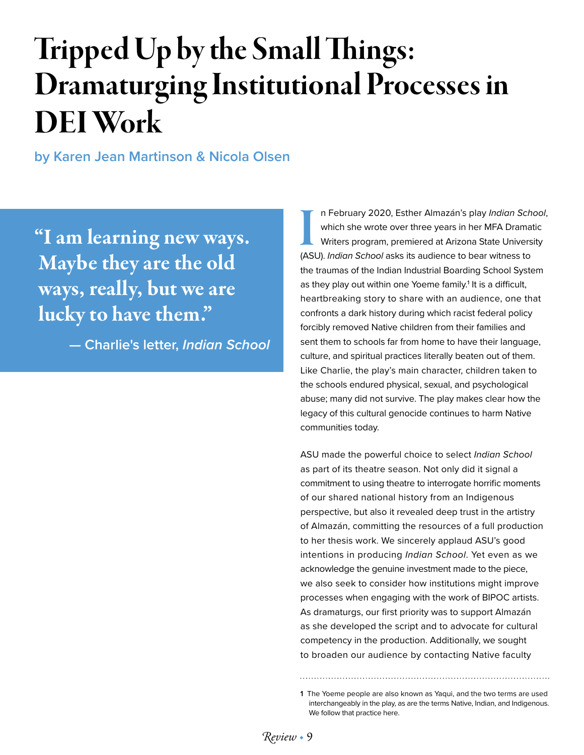# Tripped Up by the Small Things: Dramaturging Institutional Processes in DEI Work

**by Karen Jean Martinson & Nicola Olsen** 

"I am learning new ways. Maybe they are the old ways, really, but we are lucky to have them."

**— Charlie's letter,** *Indian School*

In February 2020, Esther Almazán's play *Indian Sch*<br>
which she wrote over three years in her MFA Drama<br>
Writers program, premiered at Arizona State Univers<br>
(ASU). *Indian School* asks its audience to bear witness to n February 2020, Esther Almazán's play *Indian School*, which she wrote over three years in her MFA Dramatic Writers program, premiered at Arizona State University the traumas of the Indian Industrial Boarding School System as they play out within one Yoeme family.<sup>1</sup> It is a difficult, heartbreaking story to share with an audience, one that confronts a dark history during which racist federal policy forcibly removed Native children from their families and sent them to schools far from home to have their language, culture, and spiritual practices literally beaten out of them. Like Charlie, the play's main character, children taken to the schools endured physical, sexual, and psychological abuse; many did not survive. The play makes clear how the legacy of this cultural genocide continues to harm Native communities today.

ASU made the powerful choice to select *Indian School* as part of its theatre season. Not only did it signal a commitment to using theatre to interrogate horrific moments of our shared national history from an Indigenous perspective, but also it revealed deep trust in the artistry of Almazán, committing the resources of a full production to her thesis work. We sincerely applaud ASU's good intentions in producing *Indian School*. Yet even as we acknowledge the genuine investment made to the piece, we also seek to consider how institutions might improve processes when engaging with the work of BIPOC artists. As dramaturgs, our first priority was to support Almazán as she developed the script and to advocate for cultural competency in the production. Additionally, we sought to broaden our audience by contacting Native faculty

**<sup>1</sup>** The Yoeme people are also known as Yaqui, and the two terms are used interchangeably in the play, as are the terms Native, Indian, and Indigenous. We follow that practice here.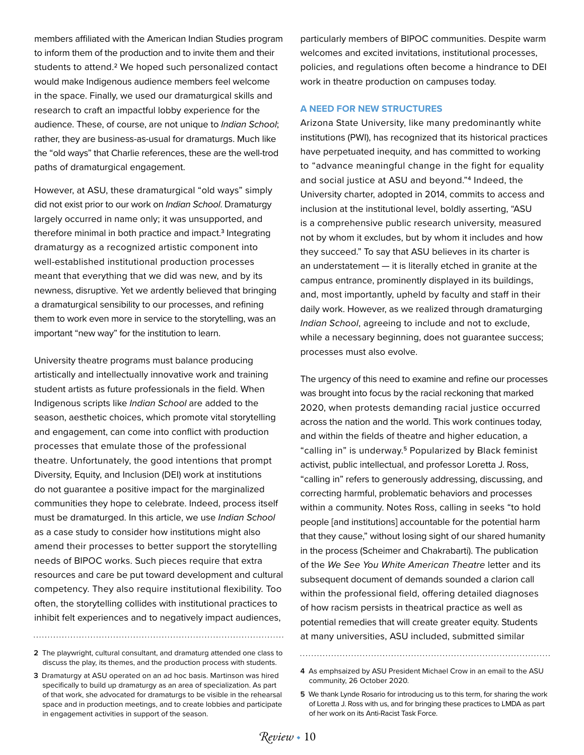members affiliated with the American Indian Studies program to inform them of the production and to invite them and their students to attend.<sup>2</sup> We hoped such personalized contact would make Indigenous audience members feel welcome in the space. Finally, we used our dramaturgical skills and research to craft an impactful lobby experience for the audience. These, of course, are not unique to *Indian School*; rather, they are business-as-usual for dramaturgs. Much like the "old ways" that Charlie references, these are the well-trod paths of dramaturgical engagement.

However, at ASU, these dramaturgical "old ways" simply did not exist prior to our work on *Indian School*. Dramaturgy largely occurred in name only; it was unsupported, and therefore minimal in both practice and impact.<sup>3</sup> Integrating dramaturgy as a recognized artistic component into well-established institutional production processes meant that everything that we did was new, and by its newness, disruptive. Yet we ardently believed that bringing a dramaturgical sensibility to our processes, and refining them to work even more in service to the storytelling, was an important "new way" for the institution to learn.

University theatre programs must balance producing artistically and intellectually innovative work and training student artists as future professionals in the field. When Indigenous scripts like *Indian School* are added to the season, aesthetic choices, which promote vital storytelling and engagement, can come into conflict with production processes that emulate those of the professional theatre. Unfortunately, the good intentions that prompt Diversity, Equity, and Inclusion (DEI) work at institutions do not guarantee a positive impact for the marginalized communities they hope to celebrate. Indeed, process itself must be dramaturged. In this article, we use *Indian School* as a case study to consider how institutions might also amend their processes to better support the storytelling needs of BIPOC works. Such pieces require that extra resources and care be put toward development and cultural competency. They also require institutional flexibility. Too often, the storytelling collides with institutional practices to inhibit felt experiences and to negatively impact audiences,

**2** The playwright, cultural consultant, and dramaturg attended one class to discuss the play, its themes, and the production process with students.

**3** Dramaturgy at ASU operated on an ad hoc basis. Martinson was hired specifically to build up dramaturgy as an area of specialization. As part of that work, she advocated for dramaturgs to be visible in the rehearsal space and in production meetings, and to create lobbies and participate in engagement activities in support of the season.

particularly members of BIPOC communities. Despite warm welcomes and excited invitations, institutional processes, policies, and regulations often become a hindrance to DEI work in theatre production on campuses today.

#### **A NEED FOR NEW STRUCTURES**

Arizona State University, like many predominantly white institutions (PWI), has recognized that its historical practices have perpetuated inequity, and has committed to working to "advance meaningful change in the fight for equality and social justice at ASU and beyond."4 Indeed, the University charter, adopted in 2014, commits to access and inclusion at the institutional level, boldly asserting, "ASU is a comprehensive public research university, measured not by whom it excludes, but by whom it includes and how they succeed." To say that ASU believes in its charter is an understatement — it is literally etched in granite at the campus entrance, prominently displayed in its buildings, and, most importantly, upheld by faculty and staff in their daily work. However, as we realized through dramaturging *Indian School*, agreeing to include and not to exclude, while a necessary beginning, does not guarantee success; processes must also evolve.

The urgency of this need to examine and refine our processes was brought into focus by the racial reckoning that marked 2020, when protests demanding racial justice occurred across the nation and the world. This work continues today, and within the fields of theatre and higher education, a "calling in" is underway.5 Popularized by Black feminist activist, public intellectual, and professor Loretta J. Ross, "calling in" refers to generously addressing, discussing, and correcting harmful, problematic behaviors and processes within a community. Notes Ross, calling in seeks "to hold people [and institutions] accountable for the potential harm that they cause," without losing sight of our shared humanity in the process (Scheimer and Chakrabarti). The publication of the *We See You White American Theatre* letter and its subsequent document of demands sounded a clarion call within the professional field, offering detailed diagnoses of how racism persists in theatrical practice as well as potential remedies that will create greater equity. Students at many universities, ASU included, submitted similar

**<sup>4</sup>** As emphsaized by ASU President Michael Crow in an email to the ASU community, 26 October 2020.

**<sup>5</sup>** We thank Lynde Rosario for introducing us to this term, for sharing the work of Loretta J. Ross with us, and for bringing these practices to LMDA as part of her work on its Anti-Racist Task Force.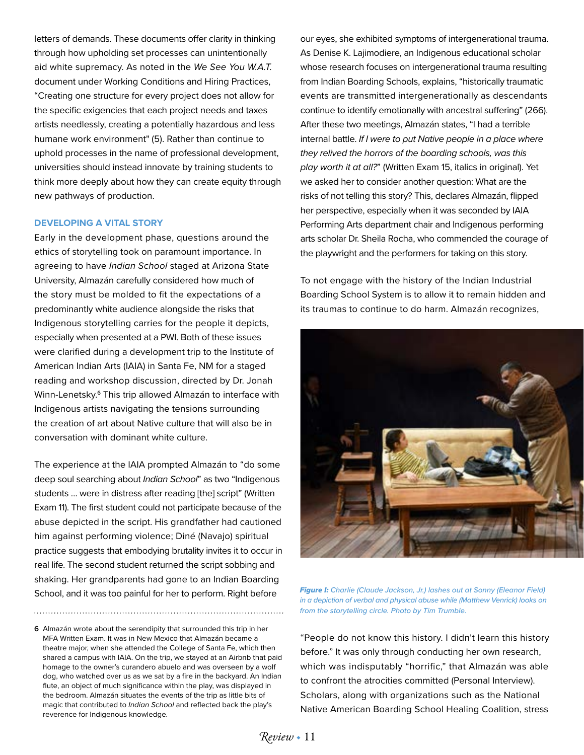letters of demands. These documents offer clarity in thinking through how upholding set processes can unintentionally aid white supremacy. As noted in the *We See You W.A.T.* document under Working Conditions and Hiring Practices, "Creating one structure for every project does not allow for the specific exigencies that each project needs and taxes artists needlessly, creating a potentially hazardous and less humane work environment" (5). Rather than continue to uphold processes in the name of professional development, universities should instead innovate by training students to think more deeply about how they can create equity through new pathways of production.

#### **DEVELOPING A VITAL STORY**

Early in the development phase, questions around the ethics of storytelling took on paramount importance. In agreeing to have *Indian School* staged at Arizona State University, Almazán carefully considered how much of the story must be molded to fit the expectations of a predominantly white audience alongside the risks that Indigenous storytelling carries for the people it depicts, especially when presented at a PWI. Both of these issues were clarified during a development trip to the Institute of American Indian Arts (IAIA) in Santa Fe, NM for a staged reading and workshop discussion, directed by Dr. Jonah Winn-Lenetsky.6 This trip allowed Almazán to interface with Indigenous artists navigating the tensions surrounding the creation of art about Native culture that will also be in conversation with dominant white culture.

The experience at the IAIA prompted Almazán to "do some deep soul searching about *Indian School*" as two "Indigenous students … were in distress after reading [the] script" (Written Exam 11). The first student could not participate because of the abuse depicted in the script. His grandfather had cautioned him against performing violence; Diné (Navajo) spiritual practice suggests that embodying brutality invites it to occur in real life. The second student returned the script sobbing and shaking. Her grandparents had gone to an Indian Boarding School, and it was too painful for her to perform. Right before

**6** Almazán wrote about the serendipity that surrounded this trip in her MFA Written Exam. It was in New Mexico that Almazán became a theatre major, when she attended the College of Santa Fe, which then shared a campus with IAIA. On the trip, we stayed at an Airbnb that paid homage to the owner's curandero abuelo and was overseen by a wolf dog, who watched over us as we sat by a fire in the backyard. An Indian flute, an object of much significance within the play, was displayed in the bedroom. Almazán situates the events of the trip as little bits of magic that contributed to *Indian School* and reflected back the play's reverence for Indigenous knowledge.

our eyes, she exhibited symptoms of intergenerational trauma. As Denise K. Lajimodiere, an Indigenous educational scholar whose research focuses on intergenerational trauma resulting from Indian Boarding Schools, explains, "historically traumatic events are transmitted intergenerationally as descendants continue to identify emotionally with ancestral suffering" (266). After these two meetings, Almazán states, "I had a terrible internal battle. *If I were to put Native people in a place where they relived the horrors of the boarding schools, was this play worth it at all?*" (Written Exam 15, italics in original). Yet we asked her to consider another question: What are the risks of not telling this story? This, declares Almazán, flipped her perspective, especially when it was seconded by IAIA Performing Arts department chair and Indigenous performing arts scholar Dr. Sheila Rocha, who commended the courage of the playwright and the performers for taking on this story.

To not engage with the history of the Indian Industrial Boarding School System is to allow it to remain hidden and its traumas to continue to do harm. Almazán recognizes,



*Figure I: Charlie (Claude Jackson, Jr.) lashes out at Sonny (Eleanor Field) in a depiction of verbal and physical abuse while (Matthew Venrick) looks on from the storytelling circle. Photo by Tim Trumble.* 

"People do not know this history. I didn't learn this history before." It was only through conducting her own research, which was indisputably "horrific," that Almazán was able to confront the atrocities committed (Personal Interview). Scholars, along with organizations such as the National Native American Boarding School Healing Coalition, stress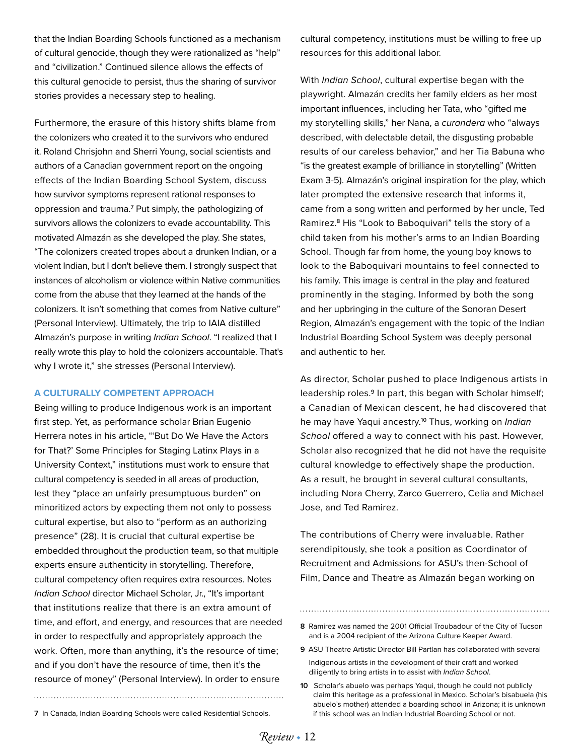that the Indian Boarding Schools functioned as a mechanism of cultural genocide, though they were rationalized as "help" and "civilization." Continued silence allows the effects of this cultural genocide to persist, thus the sharing of survivor stories provides a necessary step to healing.

Furthermore, the erasure of this history shifts blame from the colonizers who created it to the survivors who endured it. Roland Chrisjohn and Sherri Young, social scientists and authors of a Canadian government report on the ongoing effects of the Indian Boarding School System, discuss how survivor symptoms represent rational responses to oppression and trauma.7 Put simply, the pathologizing of survivors allows the colonizers to evade accountability. This motivated Almazán as she developed the play. She states, "The colonizers created tropes about a drunken Indian, or a violent Indian, but I don't believe them. I strongly suspect that instances of alcoholism or violence within Native communities come from the abuse that they learned at the hands of the colonizers. It isn't something that comes from Native culture" (Personal Interview). Ultimately, the trip to IAIA distilled Almazán's purpose in writing *Indian School*. "I realized that I really wrote this play to hold the colonizers accountable. That's why I wrote it," she stresses (Personal Interview).

#### **A CULTURALLY COMPETENT APPROACH**

Being willing to produce Indigenous work is an important first step. Yet, as performance scholar Brian Eugenio Herrera notes in his article, "'But Do We Have the Actors for That?' Some Principles for Staging Latinx Plays in a University Context," institutions must work to ensure that cultural competency is seeded in all areas of production, lest they "place an unfairly presumptuous burden" on minoritized actors by expecting them not only to possess cultural expertise, but also to "perform as an authorizing presence" (28). It is crucial that cultural expertise be embedded throughout the production team, so that multiple experts ensure authenticity in storytelling. Therefore, cultural competency often requires extra resources. Notes *Indian School* director Michael Scholar, Jr., "It's important that institutions realize that there is an extra amount of time, and effort, and energy, and resources that are needed in order to respectfully and appropriately approach the work. Often, more than anything, it's the resource of time; and if you don't have the resource of time, then it's the resource of money" (Personal Interview). In order to ensure

cultural competency, institutions must be willing to free up resources for this additional labor.

With *Indian School*, cultural expertise began with the playwright. Almazán credits her family elders as her most important influences, including her Tata, who "gifted me my storytelling skills," her Nana, a *curandera* who "always described, with delectable detail, the disgusting probable results of our careless behavior," and her Tia Babuna who "is the greatest example of brilliance in storytelling" (Written Exam 3-5). Almazán's original inspiration for the play, which later prompted the extensive research that informs it, came from a song written and performed by her uncle, Ted Ramirez.8 His "Look to Baboquivari" tells the story of a child taken from his mother's arms to an Indian Boarding School. Though far from home, the young boy knows to look to the Baboquivari mountains to feel connected to his family. This image is central in the play and featured prominently in the staging. Informed by both the song and her upbringing in the culture of the Sonoran Desert Region, Almazán's engagement with the topic of the Indian Industrial Boarding School System was deeply personal and authentic to her.

As director, Scholar pushed to place Indigenous artists in leadership roles.<sup>9</sup> In part, this began with Scholar himself; a Canadian of Mexican descent, he had discovered that he may have Yaqui ancestry.10 Thus, working on *Indian School* offered a way to connect with his past. However, Scholar also recognized that he did not have the requisite cultural knowledge to effectively shape the production. As a result, he brought in several cultural consultants, including Nora Cherry, Zarco Guerrero, Celia and Michael Jose, and Ted Ramirez.

The contributions of Cherry were invaluable. Rather serendipitously, she took a position as Coordinator of Recruitment and Admissions for ASU's then-School of Film, Dance and Theatre as Almazán began working on

**8** Ramirez was named the 2001 Official Troubadour of the City of Tucson and is a 2004 recipient of the Arizona Culture Keeper Award.

- **9** ASU Theatre Artistic Director Bill Partlan has collaborated with several Indigenous artists in the development of their craft and worked diligently to bring artists in to assist with *Indian School*.
- **10** Scholar's abuelo was perhaps Yaqui, though he could not publicly claim this heritage as a professional in Mexico. Scholar's bisabuela (his abuelo's mother) attended a boarding school in Arizona; it is unknown **7** In Canada, Indian Boarding Schools were called Residential Schools. if this school was an Indian Industrial Boarding School or not.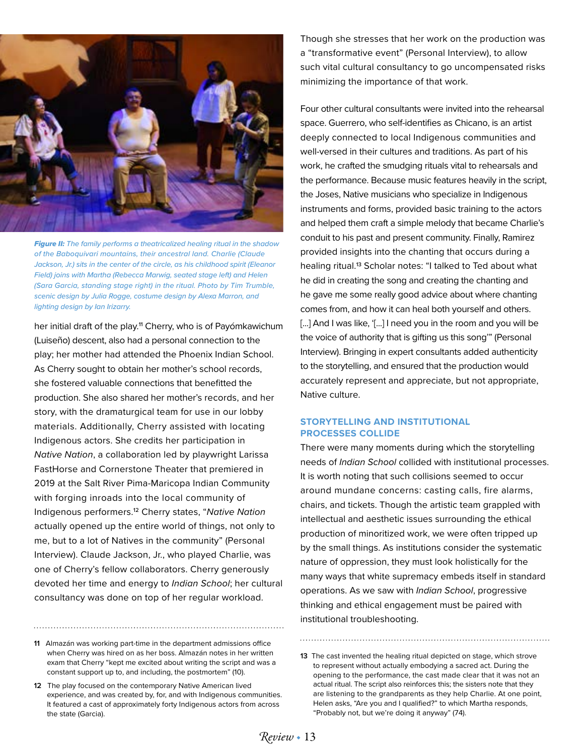

*Figure II: The family performs a theatricalized healing ritual in the shadow of the Baboquivari mountains, their ancestral land. Charlie (Claude Jackson, Jr.) sits in the center of the circle, as his childhood spirit (Eleanor Field) joins with Martha (Rebecca Marwig, seated stage left) and Helen (Sara Garcia, standing stage right) in the ritual. Photo by Tim Trumble, scenic design by Julia Rogge, costume design by Alexa Marron, and lighting design by Ian Irizarry.* 

her initial draft of the play.<sup>11</sup> Cherry, who is of Payómkawichum (Luiseño) descent, also had a personal connection to the play; her mother had attended the Phoenix Indian School. As Cherry sought to obtain her mother's school records, she fostered valuable connections that benefitted the production. She also shared her mother's records, and her story, with the dramaturgical team for use in our lobby materials. Additionally, Cherry assisted with locating Indigenous actors. She credits her participation in *Native Nation*, a collaboration led by playwright Larissa FastHorse and Cornerstone Theater that premiered in 2019 at the Salt River Pima-Maricopa Indian Community with forging inroads into the local community of Indigenous performers.12 Cherry states, "*Native Nation* actually opened up the entire world of things, not only to me, but to a lot of Natives in the community" (Personal Interview). Claude Jackson, Jr., who played Charlie, was one of Cherry's fellow collaborators. Cherry generously devoted her time and energy to *Indian School*; her cultural consultancy was done on top of her regular workload.

**11** Almazán was working part-time in the department admissions office when Cherry was hired on as her boss. Almazán notes in her written exam that Cherry "kept me excited about writing the script and was a constant support up to, and including, the postmortem" (10).

**12** The play focused on the contemporary Native American lived experience, and was created by, for, and with Indigenous communities. It featured a cast of approximately forty Indigenous actors from across the state (Garcia).

Though she stresses that her work on the production was a "transformative event" (Personal Interview), to allow such vital cultural consultancy to go uncompensated risks minimizing the importance of that work.

Four other cultural consultants were invited into the rehearsal space. Guerrero, who self-identifies as Chicano, is an artist deeply connected to local Indigenous communities and well-versed in their cultures and traditions. As part of his work, he crafted the smudging rituals vital to rehearsals and the performance. Because music features heavily in the script, the Joses, Native musicians who specialize in Indigenous instruments and forms, provided basic training to the actors and helped them craft a simple melody that became Charlie's conduit to his past and present community. Finally, Ramirez provided insights into the chanting that occurs during a healing ritual.<sup>13</sup> Scholar notes: "I talked to Ted about what he did in creating the song and creating the chanting and he gave me some really good advice about where chanting comes from, and how it can heal both yourself and others. [...] And I was like, '[...] I need you in the room and you will be the voice of authority that is gifting us this song'" (Personal Interview). Bringing in expert consultants added authenticity to the storytelling, and ensured that the production would accurately represent and appreciate, but not appropriate, Native culture.

#### **STORYTELLING AND INSTITUTIONAL PROCESSES COLLIDE**

There were many moments during which the storytelling needs of *Indian School* collided with institutional processes. It is worth noting that such collisions seemed to occur around mundane concerns: casting calls, fire alarms, chairs, and tickets. Though the artistic team grappled with intellectual and aesthetic issues surrounding the ethical production of minoritized work, we were often tripped up by the small things. As institutions consider the systematic nature of oppression, they must look holistically for the many ways that white supremacy embeds itself in standard operations. As we saw with *Indian School*, progressive thinking and ethical engagement must be paired with institutional troubleshooting.

**<sup>13</sup>** The cast invented the healing ritual depicted on stage, which strove to represent without actually embodying a sacred act. During the opening to the performance, the cast made clear that it was not an actual ritual. The script also reinforces this; the sisters note that they are listening to the grandparents as they help Charlie. At one point, Helen asks, "Are you and I qualified?" to which Martha responds, "Probably not, but we're doing it anyway" (74).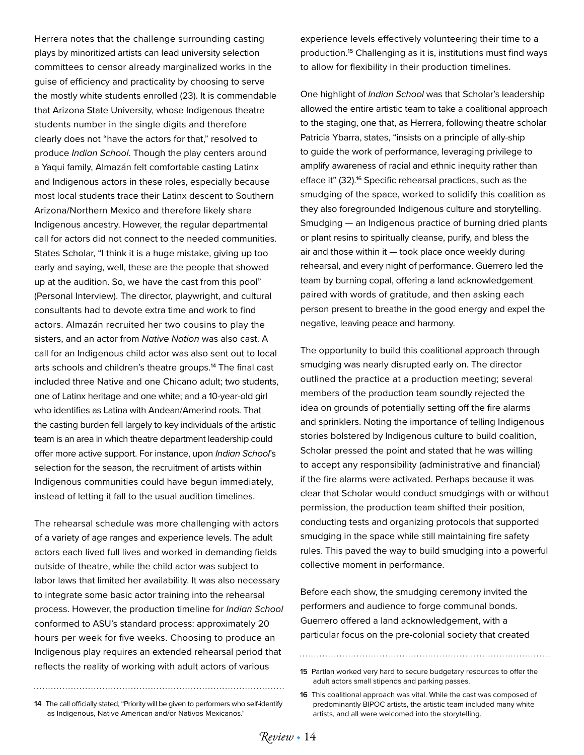Herrera notes that the challenge surrounding casting plays by minoritized artists can lead university selection committees to censor already marginalized works in the guise of efficiency and practicality by choosing to serve the mostly white students enrolled (23). It is commendable that Arizona State University, whose Indigenous theatre students number in the single digits and therefore clearly does not "have the actors for that," resolved to produce *Indian School*. Though the play centers around a Yaqui family, Almazán felt comfortable casting Latinx and Indigenous actors in these roles, especially because most local students trace their Latinx descent to Southern Arizona/Northern Mexico and therefore likely share Indigenous ancestry. However, the regular departmental call for actors did not connect to the needed communities. States Scholar, "I think it is a huge mistake, giving up too early and saying, well, these are the people that showed up at the audition. So, we have the cast from this pool" (Personal Interview). The director, playwright, and cultural consultants had to devote extra time and work to find actors. Almazán recruited her two cousins to play the sisters, and an actor from *Native Nation* was also cast. A call for an Indigenous child actor was also sent out to local arts schools and children's theatre groups.<sup>14</sup> The final cast included three Native and one Chicano adult; two students, one of Latinx heritage and one white; and a 10-year-old girl who identifies as Latina with Andean/Amerind roots. That the casting burden fell largely to key individuals of the artistic team is an area in which theatre department leadership could offer more active support. For instance, upon *Indian School*'s selection for the season, the recruitment of artists within Indigenous communities could have begun immediately, instead of letting it fall to the usual audition timelines.

The rehearsal schedule was more challenging with actors of a variety of age ranges and experience levels. The adult actors each lived full lives and worked in demanding fields outside of theatre, while the child actor was subject to labor laws that limited her availability. It was also necessary to integrate some basic actor training into the rehearsal process. However, the production timeline for *Indian School*  conformed to ASU's standard process: approximately 20 hours per week for five weeks. Choosing to produce an Indigenous play requires an extended rehearsal period that reflects the reality of working with adult actors of various

experience levels effectively volunteering their time to a production.15 Challenging as it is, institutions must find ways to allow for flexibility in their production timelines.

One highlight of *Indian School* was that Scholar's leadership allowed the entire artistic team to take a coalitional approach to the staging, one that, as Herrera, following theatre scholar Patricia Ybarra, states, "insists on a principle of ally-ship to guide the work of performance, leveraging privilege to amplify awareness of racial and ethnic inequity rather than efface it" (32).16 Specific rehearsal practices, such as the smudging of the space, worked to solidify this coalition as they also foregrounded Indigenous culture and storytelling. Smudging — an Indigenous practice of burning dried plants or plant resins to spiritually cleanse, purify, and bless the air and those within it — took place once weekly during rehearsal, and every night of performance. Guerrero led the team by burning copal, offering a land acknowledgement paired with words of gratitude, and then asking each person present to breathe in the good energy and expel the negative, leaving peace and harmony.

The opportunity to build this coalitional approach through smudging was nearly disrupted early on. The director outlined the practice at a production meeting; several members of the production team soundly rejected the idea on grounds of potentially setting off the fire alarms and sprinklers. Noting the importance of telling Indigenous stories bolstered by Indigenous culture to build coalition, Scholar pressed the point and stated that he was willing to accept any responsibility (administrative and financial) if the fire alarms were activated. Perhaps because it was clear that Scholar would conduct smudgings with or without permission, the production team shifted their position, conducting tests and organizing protocols that supported smudging in the space while still maintaining fire safety rules. This paved the way to build smudging into a powerful collective moment in performance.

Before each show, the smudging ceremony invited the performers and audience to forge communal bonds. Guerrero offered a land acknowledgement, with a particular focus on the pre-colonial society that created

**15** Partlan worked very hard to secure budgetary resources to offer the adult actors small stipends and parking passes.

**14** The call officially stated, "Priority will be given to performers who self-identify as Indigenous, Native American and/or Nativos Mexicanos."

**<sup>16</sup>** This coalitional approach was vital. While the cast was composed of predominantly BIPOC artists, the artistic team included many white artists, and all were welcomed into the storytelling.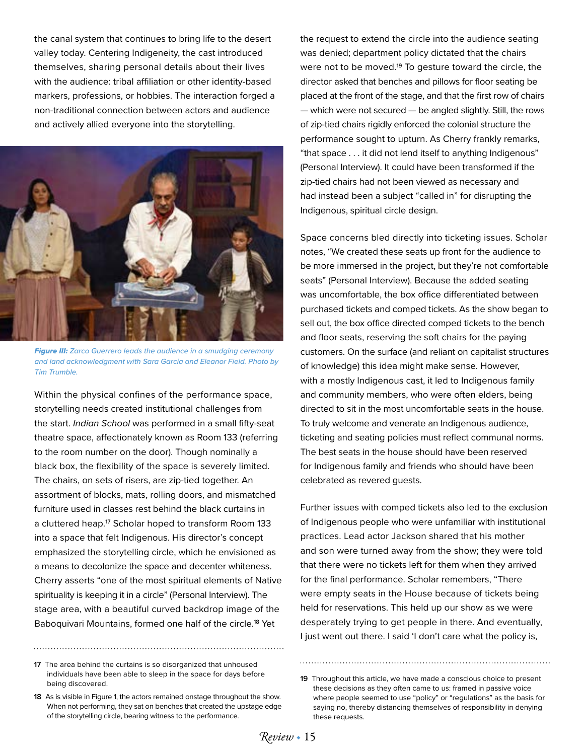the canal system that continues to bring life to the desert valley today. Centering Indigeneity, the cast introduced themselves, sharing personal details about their lives with the audience: tribal affiliation or other identity-based markers, professions, or hobbies. The interaction forged a non-traditional connection between actors and audience and actively allied everyone into the storytelling.



*Figure III: Zarco Guerrero leads the audience in a smudging ceremony and land acknowledgment with Sara Garcia and Eleanor Field. Photo by Tim Trumble.* 

Within the physical confines of the performance space, storytelling needs created institutional challenges from the start. *Indian School* was performed in a small fifty-seat theatre space, affectionately known as Room 133 (referring to the room number on the door). Though nominally a black box, the flexibility of the space is severely limited. The chairs, on sets of risers, are zip-tied together. An assortment of blocks, mats, rolling doors, and mismatched furniture used in classes rest behind the black curtains in a cluttered heap.<sup>17</sup> Scholar hoped to transform Room 133 into a space that felt Indigenous. His director's concept emphasized the storytelling circle, which he envisioned as a means to decolonize the space and decenter whiteness. Cherry asserts "one of the most spiritual elements of Native spirituality is keeping it in a circle" (Personal Interview). The stage area, with a beautiful curved backdrop image of the Baboquivari Mountains, formed one half of the circle.18 Yet

**17** The area behind the curtains is so disorganized that unhoused individuals have been able to sleep in the space for days before being discovered.

the request to extend the circle into the audience seating was denied; department policy dictated that the chairs were not to be moved.<sup>19</sup> To gesture toward the circle, the director asked that benches and pillows for floor seating be placed at the front of the stage, and that the first row of chairs — which were not secured — be angled slightly. Still, the rows of zip-tied chairs rigidly enforced the colonial structure the performance sought to upturn. As Cherry frankly remarks, "that space . . . it did not lend itself to anything Indigenous" (Personal Interview). It could have been transformed if the zip-tied chairs had not been viewed as necessary and had instead been a subject "called in" for disrupting the Indigenous, spiritual circle design.

Space concerns bled directly into ticketing issues. Scholar notes, "We created these seats up front for the audience to be more immersed in the project, but they're not comfortable seats" (Personal Interview). Because the added seating was uncomfortable, the box office differentiated between purchased tickets and comped tickets. As the show began to sell out, the box office directed comped tickets to the bench and floor seats, reserving the soft chairs for the paying customers. On the surface (and reliant on capitalist structures of knowledge) this idea might make sense. However, with a mostly Indigenous cast, it led to Indigenous family and community members, who were often elders, being directed to sit in the most uncomfortable seats in the house. To truly welcome and venerate an Indigenous audience, ticketing and seating policies must reflect communal norms. The best seats in the house should have been reserved for Indigenous family and friends who should have been celebrated as revered guests.

Further issues with comped tickets also led to the exclusion of Indigenous people who were unfamiliar with institutional practices. Lead actor Jackson shared that his mother and son were turned away from the show; they were told that there were no tickets left for them when they arrived for the final performance. Scholar remembers, "There were empty seats in the House because of tickets being held for reservations. This held up our show as we were desperately trying to get people in there. And eventually, I just went out there. I said 'I don't care what the policy is,

**<sup>18</sup>** As is visible in Figure 1, the actors remained onstage throughout the show. When not performing, they sat on benches that created the upstage edge of the storytelling circle, bearing witness to the performance.

**<sup>19</sup>** Throughout this article, we have made a conscious choice to present these decisions as they often came to us: framed in passive voice where people seemed to use "policy" or "regulations" as the basis for saying no, thereby distancing themselves of responsibility in denying these requests.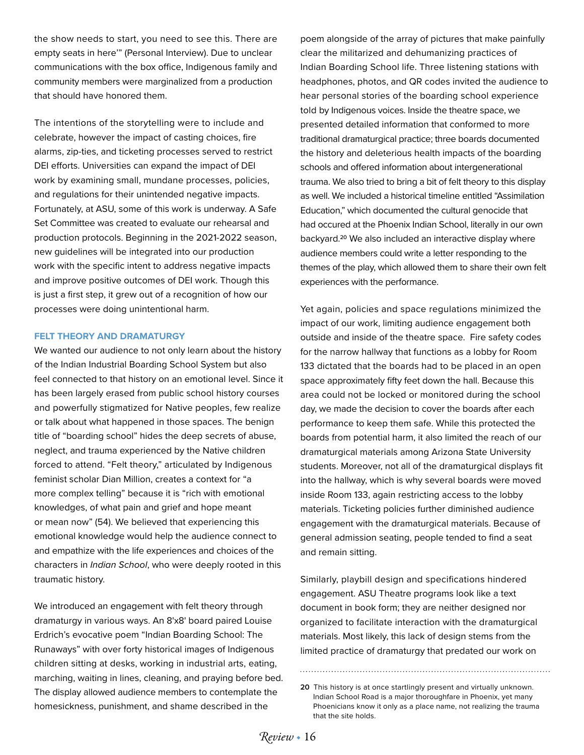the show needs to start, you need to see this. There are empty seats in here'" (Personal Interview). Due to unclear communications with the box office, Indigenous family and community members were marginalized from a production that should have honored them.

The intentions of the storytelling were to include and celebrate, however the impact of casting choices, fire alarms, zip-ties, and ticketing processes served to restrict DEI efforts. Universities can expand the impact of DEI work by examining small, mundane processes, policies, and regulations for their unintended negative impacts. Fortunately, at ASU, some of this work is underway. A Safe Set Committee was created to evaluate our rehearsal and production protocols. Beginning in the 2021-2022 season, new guidelines will be integrated into our production work with the specific intent to address negative impacts and improve positive outcomes of DEI work. Though this is just a first step, it grew out of a recognition of how our processes were doing unintentional harm.

#### **FELT THEORY AND DRAMATURGY**

We wanted our audience to not only learn about the history of the Indian Industrial Boarding School System but also feel connected to that history on an emotional level. Since it has been largely erased from public school history courses and powerfully stigmatized for Native peoples, few realize or talk about what happened in those spaces. The benign title of "boarding school" hides the deep secrets of abuse, neglect, and trauma experienced by the Native children forced to attend. "Felt theory," articulated by Indigenous feminist scholar Dian Million, creates a context for "a more complex telling" because it is "rich with emotional knowledges, of what pain and grief and hope meant or mean now" (54). We believed that experiencing this emotional knowledge would help the audience connect to and empathize with the life experiences and choices of the characters in *Indian School*, who were deeply rooted in this traumatic history.

We introduced an engagement with felt theory through dramaturgy in various ways. An 8'x8' board paired Louise Erdrich's evocative poem "Indian Boarding School: The Runaways" with over forty historical images of Indigenous children sitting at desks, working in industrial arts, eating, marching, waiting in lines, cleaning, and praying before bed. The display allowed audience members to contemplate the homesickness, punishment, and shame described in the

poem alongside of the array of pictures that make painfully clear the militarized and dehumanizing practices of Indian Boarding School life. Three listening stations with headphones, photos, and QR codes invited the audience to hear personal stories of the boarding school experience told by Indigenous voices. Inside the theatre space, we presented detailed information that conformed to more traditional dramaturgical practice; three boards documented the history and deleterious health impacts of the boarding schools and offered information about intergenerational trauma. We also tried to bring a bit of felt theory to this display as well. We included a historical timeline entitled "Assimilation Education," which documented the cultural genocide that had occured at the Phoenix Indian School, literally in our own backyard.20 We also included an interactive display where audience members could write a letter responding to the themes of the play, which allowed them to share their own felt experiences with the performance.

Yet again, policies and space regulations minimized the impact of our work, limiting audience engagement both outside and inside of the theatre space. Fire safety codes for the narrow hallway that functions as a lobby for Room 133 dictated that the boards had to be placed in an open space approximately fifty feet down the hall. Because this area could not be locked or monitored during the school day, we made the decision to cover the boards after each performance to keep them safe. While this protected the boards from potential harm, it also limited the reach of our dramaturgical materials among Arizona State University students. Moreover, not all of the dramaturgical displays fit into the hallway, which is why several boards were moved inside Room 133, again restricting access to the lobby materials. Ticketing policies further diminished audience engagement with the dramaturgical materials. Because of general admission seating, people tended to find a seat and remain sitting.

Similarly, playbill design and specifications hindered engagement. ASU Theatre programs look like a text document in book form; they are neither designed nor organized to facilitate interaction with the dramaturgical materials. Most likely, this lack of design stems from the limited practice of dramaturgy that predated our work on

**<sup>20</sup>** This history is at once startlingly present and virtually unknown. Indian School Road is a major thoroughfare in Phoenix, yet many Phoenicians know it only as a place name, not realizing the trauma that the site holds.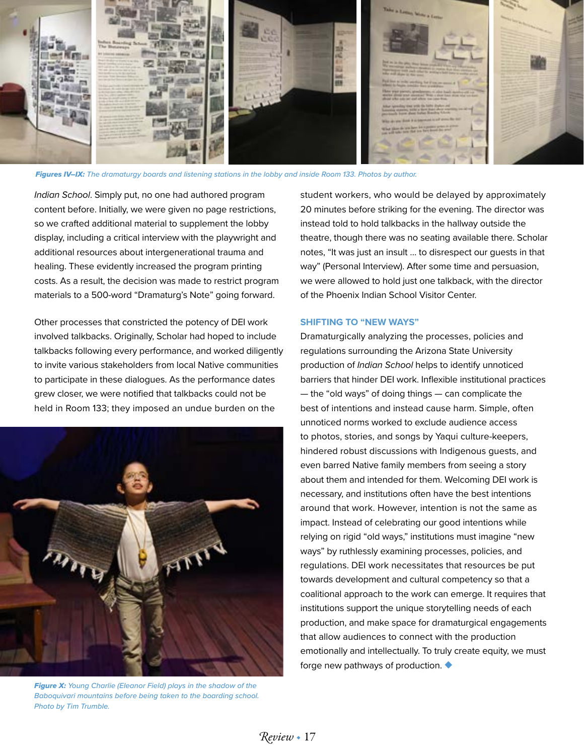

*Figures IV–IX: The dramaturgy boards and listening stations in the lobby and inside Room 133. Photos by author.* 

*Indian School*. Simply put, no one had authored program content before. Initially, we were given no page restrictions, so we crafted additional material to supplement the lobby display, including a critical interview with the playwright and additional resources about intergenerational trauma and healing. These evidently increased the program printing costs. As a result, the decision was made to restrict program materials to a 500-word "Dramaturg's Note" going forward.

Other processes that constricted the potency of DEI work involved talkbacks. Originally, Scholar had hoped to include talkbacks following every performance, and worked diligently to invite various stakeholders from local Native communities to participate in these dialogues. As the performance dates grew closer, we were notified that talkbacks could not be held in Room 133; they imposed an undue burden on the



*Figure X: Young Charlie (Eleanor Field) plays in the shadow of the Baboquivari mountains before being taken to the boarding school. Photo by Tim Trumble.*

student workers, who would be delayed by approximately 20 minutes before striking for the evening. The director was instead told to hold talkbacks in the hallway outside the theatre, though there was no seating available there. Scholar notes, "It was just an insult … to disrespect our guests in that way" (Personal Interview). After some time and persuasion, we were allowed to hold just one talkback, with the director of the Phoenix Indian School Visitor Center.

#### **SHIFTING TO "NEW WAYS"**

Dramaturgically analyzing the processes, policies and regulations surrounding the Arizona State University production of *Indian School* helps to identify unnoticed barriers that hinder DEI work. Inflexible institutional practices — the "old ways" of doing things — can complicate the best of intentions and instead cause harm. Simple, often unnoticed norms worked to exclude audience access to photos, stories, and songs by Yaqui culture-keepers, hindered robust discussions with Indigenous guests, and even barred Native family members from seeing a story about them and intended for them. Welcoming DEI work is necessary, and institutions often have the best intentions around that work. However, intention is not the same as impact. Instead of celebrating our good intentions while relying on rigid "old ways," institutions must imagine "new ways" by ruthlessly examining processes, policies, and regulations. DEI work necessitates that resources be put towards development and cultural competency so that a coalitional approach to the work can emerge. It requires that institutions support the unique storytelling needs of each production, and make space for dramaturgical engagements that allow audiences to connect with the production emotionally and intellectually. To truly create equity, we must forge new pathways of production. ◆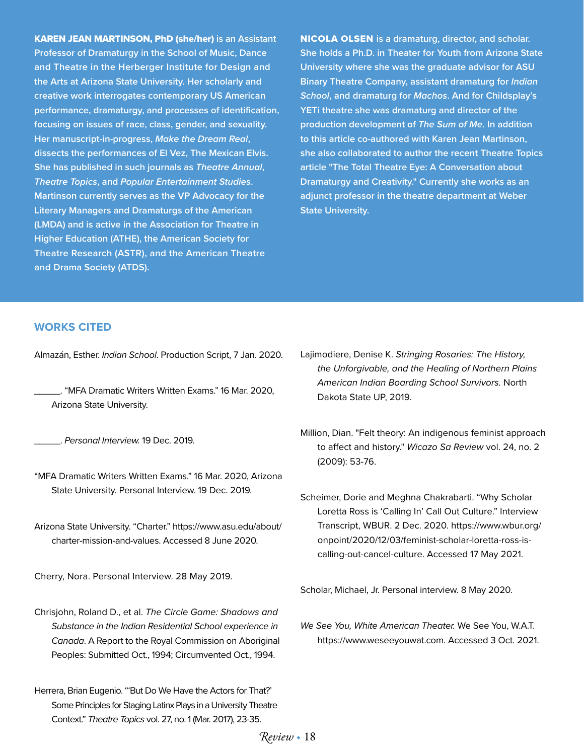KAREN JEAN MARTINSON, PhD (she/her) **is an Assistant Professor of Dramaturgy in the School of Music, Dance and Theatre in the Herberger Institute for Design and the Arts at Arizona State University. Her scholarly and creative work interrogates contemporary US American performance, dramaturgy, and processes of identification, focusing on issues of race, class, gender, and sexuality. Her manuscript-in-progress,** *Make the Dream Real***, dissects the performances of El Vez, The Mexican Elvis. She has published in such journals as** *Theatre Annual***,**  *Theatre Topics***, and** *Popular Entertainment Studies***. Martinson currently serves as the VP Advocacy for the Literary Managers and Dramaturgs of the American (LMDA) and is active in the Association for Theatre in Higher Education (ATHE), the American Society for Theatre Research (ASTR), and the American Theatre and Drama Society (ATDS).**

NICOLA OLSEN **is a dramaturg, director, and scholar. She holds a Ph.D. in Theater for Youth from Arizona State University where she was the graduate advisor for ASU Binary Theatre Company, assistant dramaturg for** *Indian School***, and dramaturg for** *Machos***. And for Childsplay's YETi theatre she was dramaturg and director of the production development of** *The Sum of Me***. In addition to this article co-authored with Karen Jean Martinson, she also collaborated to author the recent Theatre Topics article "The Total Theatre Eye: A Conversation about Dramaturgy and Creativity." Currently she works as an adjunct professor in the theatre department at Weber State University.**

#### **WORKS CITED**

Almazán, Esther. *Indian School*. Production Script, 7 Jan. 2020.

\_\_\_\_\_. "MFA Dramatic Writers Written Exams." 16 Mar. 2020, Arizona State University.

\_\_\_\_\_. *Personal Interview.* 19 Dec. 2019.

- "MFA Dramatic Writers Written Exams." 16 Mar. 2020, Arizona State University. Personal Interview. 19 Dec. 2019.
- Arizona State University. "Charter." https://www.asu.edu/about/ charter-mission-and-values. Accessed 8 June 2020.

Cherry, Nora. Personal Interview. 28 May 2019.

- Chrisjohn, Roland D., et al. *The Circle Game: Shadows and Substance in the Indian Residential School experience in Canada*. A Report to the Royal Commission on Aboriginal Peoples: Submitted Oct., 1994; Circumvented Oct., 1994.
- Herrera, Brian Eugenio. "'But Do We Have the Actors for That?' Some Principles for Staging Latinx Plays in a University Theatre Context." *Theatre Topics* vol. 27, no. 1 (Mar. 2017), 23-35.
- Lajimodiere, Denise K. *Stringing Rosaries: The History, the Unforgivable, and the Healing of Northern Plains American Indian Boarding School Survivors.* North Dakota State UP, 2019.
- Million, Dian. "Felt theory: An indigenous feminist approach to affect and history." *Wicazo Sa Review* vol. 24, no. 2 (2009): 53-76.
- Scheimer, Dorie and Meghna Chakrabarti. "Why Scholar Loretta Ross is 'Calling In' Call Out Culture." Interview Transcript, WBUR. 2 Dec. 2020. https://www.wbur.org/ onpoint/2020/12/03/feminist-scholar-loretta-ross-iscalling-out-cancel-culture. Accessed 17 May 2021.

Scholar, Michael, Jr. Personal interview. 8 May 2020.

*We See You, White American Theater.* We See You, W.A.T. https://www.weseeyouwat.com. Accessed 3 Oct. 2021.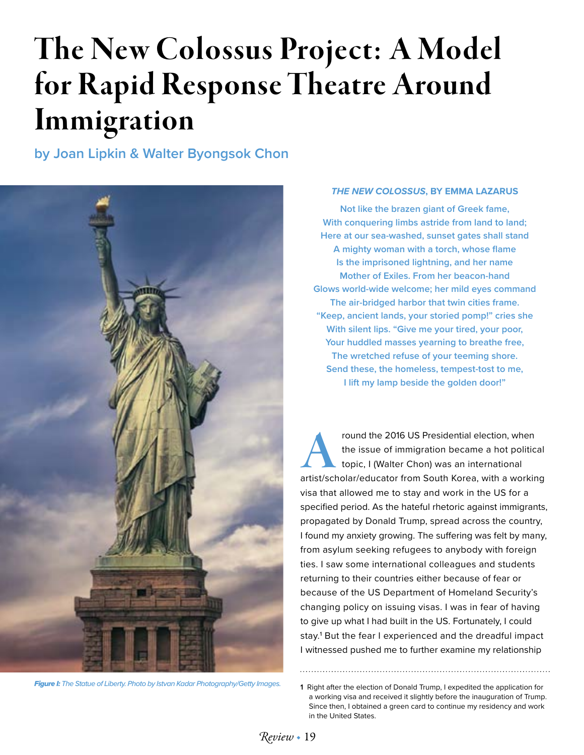# The New Colossus Project: A Model for Rapid Response Theatre Around Immigration

**by Joan Lipkin & Walter Byongsok Chon**



*Figure I: The Statue of Liberty. Photo by Istvan Kadar Photography/Getty Images.* **1** Right after the election of Donald Trump, I expedited the application for

### *THE NEW COLOSSUS***, BY EMMA LAZARUS**

**Not like the brazen giant of Greek fame, With conquering limbs astride from land to land; Here at our sea-washed, sunset gates shall stand A mighty woman with a torch, whose flame Is the imprisoned lightning, and her name Mother of Exiles. From her beacon-hand Glows world-wide welcome; her mild eyes command The air-bridged harbor that twin cities frame. "Keep, ancient lands, your storied pomp!" cries she With silent lips. "Give me your tired, your poor, Your huddled masses yearning to breathe free, The wretched refuse of your teeming shore. Send these, the homeless, tempest-tost to me, I lift my lamp beside the golden door!"**

Fresidential election, when<br>
the issue of immigration became a hot political<br>
topic, I (Walter Chon) was an international<br>
artist/scholar/educator from South Korea, with a working the issue of immigration became a hot political topic, I (Walter Chon) was an international visa that allowed me to stay and work in the US for a specified period. As the hateful rhetoric against immigrants, propagated by Donald Trump, spread across the country, I found my anxiety growing. The suffering was felt by many, from asylum seeking refugees to anybody with foreign ties. I saw some international colleagues and students returning to their countries either because of fear or because of the US Department of Homeland Security's changing policy on issuing visas. I was in fear of having to give up what I had built in the US. Fortunately, I could stay.<sup>1</sup> But the fear I experienced and the dreadful impact I witnessed pushed me to further examine my relationship

a working visa and received it slightly before the inauguration of Trump. Since then, I obtained a green card to continue my residency and work in the United States.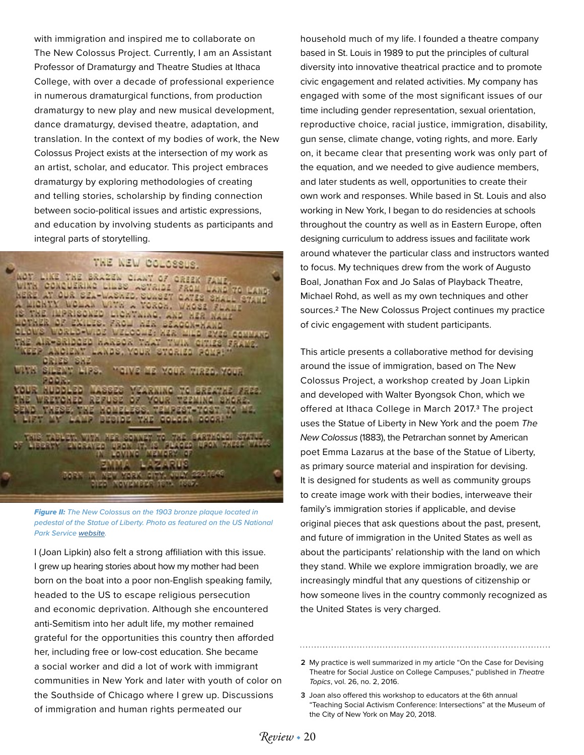with immigration and inspired me to collaborate on The New Colossus Project. Currently, I am an Assistant Professor of Dramaturgy and Theatre Studies at Ithaca College, with over a decade of professional experience in numerous dramaturgical functions, from production dramaturgy to new play and new musical development, dance dramaturgy, devised theatre, adaptation, and translation. In the context of my bodies of work, the New Colossus Project exists at the intersection of my work as an artist, scholar, and educator. This project embraces dramaturgy by exploring methodologies of creating and telling stories, scholarship by finding connection between socio-political issues and artistic expressions, and education by involving students as participants and integral parts of storytelling.

# THE NEW COLOSSUS.

AOT LIKE THE BRAZEM CLANT OF GRIEK FAME.<br>WITH CONQUERING LINES ASYRIDE FROM LAND TO MATH,<br>AERE AT OUR SEA-WASAED, SUASET GATES SHALL CYATE<br>IS THE IMPRISONED LICH AND CAND HER MATH TOVAZR DF EXILES, FROM AZR BEACON-MAND the Ale-Smoodo Aarsor that twix other frame.<br>Wedp Anoisny Lands, your syoriso pompi CRIES SNE in silayy lips. **MANS MS WHITE MEET, MOUTH RADR**. KOUR KUDDLED MASSES VEARNING TO EREATHE FREE. HER SONNEY TO THE CORPORAL STAT **Them in in radio fifth that** 26

*Figure II: The New Colossus on the 1903 bronze plaque located in pedestal of the Statue of Liberty. Photo as featured on the US National Park Service [website](http:// website).*

I (Joan Lipkin) also felt a strong affiliation with this issue. I grew up hearing stories about how my mother had been born on the boat into a poor non-English speaking family, headed to the US to escape religious persecution and economic deprivation. Although she encountered anti-Semitism into her adult life, my mother remained grateful for the opportunities this country then afforded her, including free or low-cost education. She became a social worker and did a lot of work with immigrant communities in New York and later with youth of color on the Southside of Chicago where I grew up. Discussions of immigration and human rights permeated our

household much of my life. I founded a theatre company based in St. Louis in 1989 to put the principles of cultural diversity into innovative theatrical practice and to promote civic engagement and related activities. My company has engaged with some of the most significant issues of our time including gender representation, sexual orientation, reproductive choice, racial justice, immigration, disability, gun sense, climate change, voting rights, and more. Early on, it became clear that presenting work was only part of the equation, and we needed to give audience members, and later students as well, opportunities to create their own work and responses. While based in St. Louis and also working in New York, I began to do residencies at schools throughout the country as well as in Eastern Europe, often designing curriculum to address issues and facilitate work around whatever the particular class and instructors wanted to focus. My techniques drew from the work of Augusto Boal, Jonathan Fox and Jo Salas of Playback Theatre, Michael Rohd, as well as my own techniques and other sources.2 The New Colossus Project continues my practice of civic engagement with student participants.

This article presents a collaborative method for devising around the issue of immigration, based on The New Colossus Project, a workshop created by Joan Lipkin and developed with Walter Byongsok Chon, which we offered at Ithaca College in March 2017.<sup>3</sup> The project uses the Statue of Liberty in New York and the poem *The New Colossus* (1883), the Petrarchan sonnet by American poet Emma Lazarus at the base of the Statue of Liberty, as primary source material and inspiration for devising. It is designed for students as well as community groups to create image work with their bodies, interweave their family's immigration stories if applicable, and devise original pieces that ask questions about the past, present, and future of immigration in the United States as well as about the participants' relationship with the land on which they stand. While we explore immigration broadly, we are increasingly mindful that any questions of citizenship or how someone lives in the country commonly recognized as the United States is very charged.

**2** My practice is well summarized in my article "On the Case for Devising Theatre for Social Justice on College Campuses," published in *Theatre Topics*, vol. 26, no. 2, 2016.

**3** Joan also offered this workshop to educators at the 6th annual "Teaching Social Activism Conference: Intersections" at the Museum of the City of New York on May 20, 2018.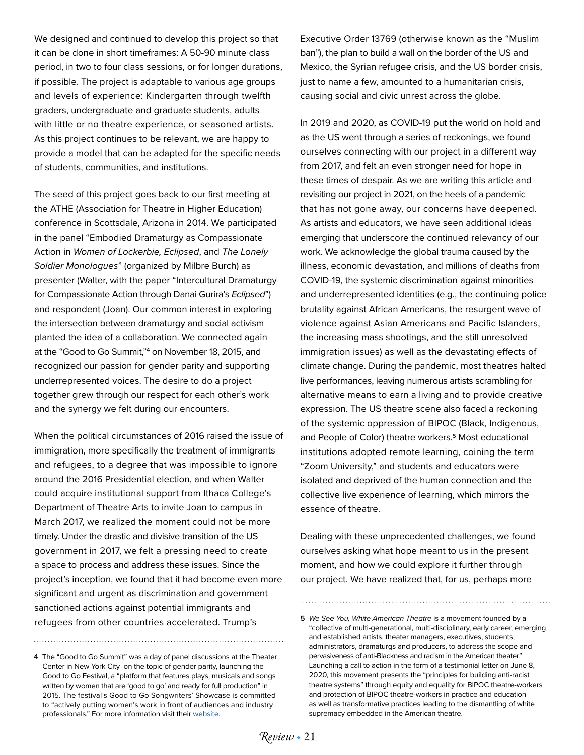We designed and continued to develop this project so that it can be done in short timeframes: A 50-90 minute class period, in two to four class sessions, or for longer durations, if possible. The project is adaptable to various age groups and levels of experience: Kindergarten through twelfth graders, undergraduate and graduate students, adults with little or no theatre experience, or seasoned artists. As this project continues to be relevant, we are happy to provide a model that can be adapted for the specific needs of students, communities, and institutions.

The seed of this project goes back to our first meeting at the ATHE (Association for Theatre in Higher Education) conference in Scottsdale, Arizona in 2014. We participated in the panel "Embodied Dramaturgy as Compassionate Action in *Women of Lockerbie, Eclipsed*, and *The Lonely Soldier Monologues*" (organized by Milbre Burch) as presenter (Walter, with the paper "Intercultural Dramaturgy for Compassionate Action through Danai Gurira's *Eclipsed*") and respondent (Joan). Our common interest in exploring the intersection between dramaturgy and social activism planted the idea of a collaboration. We connected again at the "Good to Go Summit,"4 on November 18, 2015, and recognized our passion for gender parity and supporting underrepresented voices. The desire to do a project together grew through our respect for each other's work and the synergy we felt during our encounters.

When the political circumstances of 2016 raised the issue of immigration, more specifically the treatment of immigrants and refugees, to a degree that was impossible to ignore around the 2016 Presidential election, and when Walter could acquire institutional support from Ithaca College's Department of Theatre Arts to invite Joan to campus in March 2017, we realized the moment could not be more timely. Under the drastic and divisive transition of the US government in 2017, we felt a pressing need to create a space to process and address these issues. Since the project's inception, we found that it had become even more significant and urgent as discrimination and government sanctioned actions against potential immigrants and refugees from other countries accelerated. Trump's

**4** The "Good to Go Summit" was a day of panel discussions at the Theater Center in New York City on the topic of gender parity, launching the Good to Go Festival, a "platform that features plays, musicals and songs written by women that are 'good to go' and ready for full production" in 2015. The festival's Good to Go Songwriters' Showcase is committed to "actively putting women's work in front of audiences and industry professionals." For more information visit their [website](http://goodtogofestival.org/).

Executive Order 13769 (otherwise known as the "Muslim ban"), the plan to build a wall on the border of the US and Mexico, the Syrian refugee crisis, and the US border crisis, just to name a few, amounted to a humanitarian crisis, causing social and civic unrest across the globe.

In 2019 and 2020, as COVID-19 put the world on hold and as the US went through a series of reckonings, we found ourselves connecting with our project in a different way from 2017, and felt an even stronger need for hope in these times of despair. As we are writing this article and revisiting our project in 2021, on the heels of a pandemic that has not gone away, our concerns have deepened. As artists and educators, we have seen additional ideas emerging that underscore the continued relevancy of our work. We acknowledge the global trauma caused by the illness, economic devastation, and millions of deaths from COVID-19, the systemic discrimination against minorities and underrepresented identities (e.g., the continuing police brutality against African Americans, the resurgent wave of violence against Asian Americans and Pacific Islanders, the increasing mass shootings, and the still unresolved immigration issues) as well as the devastating effects of climate change. During the pandemic, most theatres halted live performances, leaving numerous artists scrambling for alternative means to earn a living and to provide creative expression. The US theatre scene also faced a reckoning of the systemic oppression of BIPOC (Black, Indigenous, and People of Color) theatre workers.<sup>5</sup> Most educational institutions adopted remote learning, coining the term "Zoom University," and students and educators were isolated and deprived of the human connection and the collective live experience of learning, which mirrors the essence of theatre.

Dealing with these unprecedented challenges, we found ourselves asking what hope meant to us in the present moment, and how we could explore it further through our project. We have realized that, for us, perhaps more

**<sup>5</sup>** *We See You, White American Theatre* is a movement founded by a "collective of multi-generational, multi-disciplinary, early career, emerging and established artists, theater managers, executives, students, administrators, dramaturgs and producers, to address the scope and pervasiveness of anti-Blackness and racism in the American theater." Launching a call to action in the form of a testimonial letter on June 8, 2020, this movement presents the "principles for building anti-racist theatre systems" through equity and equality for BIPOC theatre-workers and protection of BIPOC theatre-workers in practice and education as well as transformative practices leading to the dismantling of white supremacy embedded in the American theatre.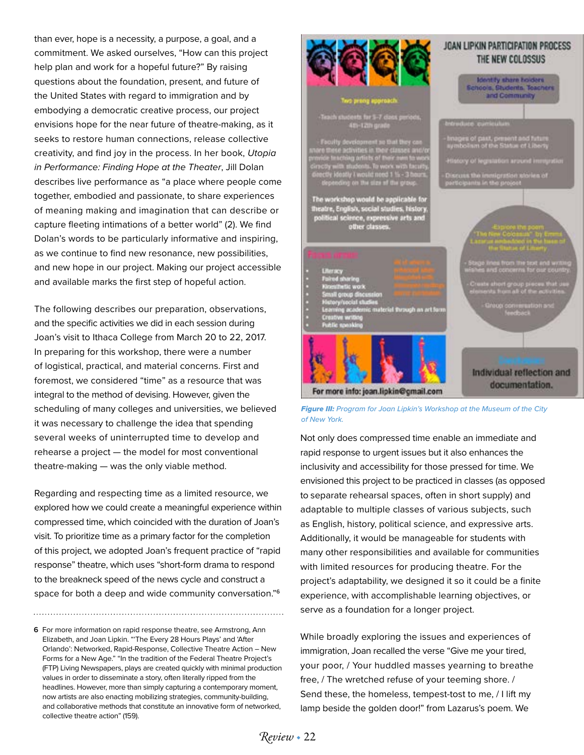than ever, hope is a necessity, a purpose, a goal, and a commitment. We asked ourselves, "How can this project help plan and work for a hopeful future?" By raising questions about the foundation, present, and future of the United States with regard to immigration and by embodying a democratic creative process, our project envisions hope for the near future of theatre-making, as it seeks to restore human connections, release collective creativity, and find joy in the process. In her book, *Utopia in Performance: Finding Hope at the Theater*, Jill Dolan describes live performance as "a place where people come together, embodied and passionate, to share experiences of meaning making and imagination that can describe or capture fleeting intimations of a better world" (2). We find Dolan's words to be particularly informative and inspiring, as we continue to find new resonance, new possibilities, and new hope in our project. Making our project accessible and available marks the first step of hopeful action.

The following describes our preparation, observations, and the specific activities we did in each session during Joan's visit to Ithaca College from March 20 to 22, 2017. In preparing for this workshop, there were a number of logistical, practical, and material concerns. First and foremost, we considered "time" as a resource that was integral to the method of devising. However, given the scheduling of many colleges and universities, we believed it was necessary to challenge the idea that spending several weeks of uninterrupted time to develop and rehearse a project — the model for most conventional theatre-making — was the only viable method.

Regarding and respecting time as a limited resource, we explored how we could create a meaningful experience within compressed time, which coincided with the duration of Joan's visit. To prioritize time as a primary factor for the completion of this project, we adopted Joan's frequent practice of "rapid response" theatre, which uses "short-form drama to respond to the breakneck speed of the news cycle and construct a space for both a deep and wide community conversation."<sup>6</sup>

**6** For more information on rapid response theatre, see Armstrong, Ann Elizabeth, and Joan Lipkin. "'The Every 28 Hours Plays' and 'After Orlando': Networked, Rapid-Response, Collective Theatre Action – New Forms for a New Age." "In the tradition of the Federal Theatre Project's (FTP) Living Newspapers, plays are created quickly with minimal production values in order to disseminate a story, often literally ripped from the headlines. However, more than simply capturing a contemporary moment, now artists are also enacting mobilizing strategies, community-building, and collaborative methods that constitute an innovative form of networked, collective theatre action" (159).



*Figure III: Program for Joan Lipkin's Workshop at the Museum of the City of New York.* 

Not only does compressed time enable an immediate and rapid response to urgent issues but it also enhances the inclusivity and accessibility for those pressed for time. We envisioned this project to be practiced in classes (as opposed to separate rehearsal spaces, often in short supply) and adaptable to multiple classes of various subjects, such as English, history, political science, and expressive arts. Additionally, it would be manageable for students with many other responsibilities and available for communities with limited resources for producing theatre. For the project's adaptability, we designed it so it could be a finite experience, with accomplishable learning objectives, or serve as a foundation for a longer project.

While broadly exploring the issues and experiences of immigration, Joan recalled the verse "Give me your tired, your poor, / Your huddled masses yearning to breathe free, / The wretched refuse of your teeming shore. / Send these, the homeless, tempest-tost to me, / I lift my lamp beside the golden door!" from Lazarus's poem. We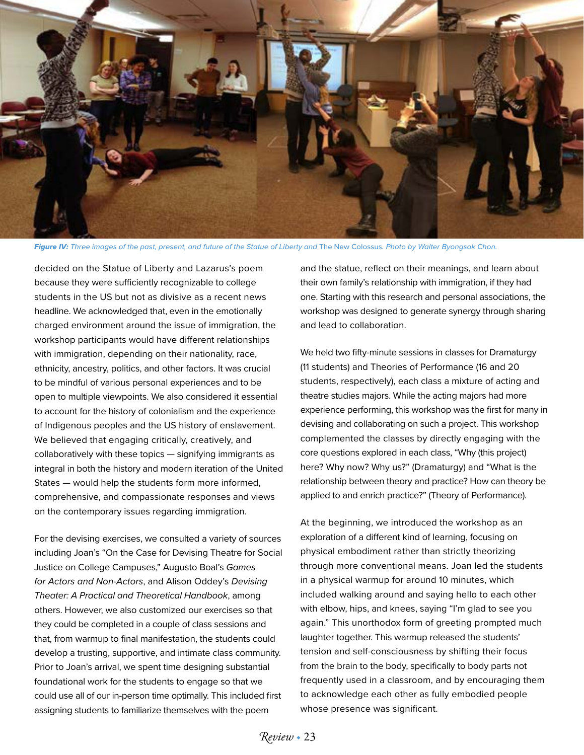

Figure IV: Three images of the past, present, and future of the Statue of Liberty and The New Colossus. Photo by Walter Byongsok Chon.

decided on the Statue of Liberty and Lazarus's poem because they were sufficiently recognizable to college students in the US but not as divisive as a recent news headline. We acknowledged that, even in the emotionally charged environment around the issue of immigration, the workshop participants would have different relationships with immigration, depending on their nationality, race, ethnicity, ancestry, politics, and other factors. It was crucial to be mindful of various personal experiences and to be open to multiple viewpoints. We also considered it essential to account for the history of colonialism and the experience of Indigenous peoples and the US history of enslavement. We believed that engaging critically, creatively, and collaboratively with these topics — signifying immigrants as integral in both the history and modern iteration of the United States — would help the students form more informed, comprehensive, and compassionate responses and views on the contemporary issues regarding immigration.

For the devising exercises, we consulted a variety of sources including Joan's "On the Case for Devising Theatre for Social Justice on College Campuses," Augusto Boal's *Games for Actors and Non-Actors*, and Alison Oddey's *Devising Theater: A Practical and Theoretical Handbook*, among others. However, we also customized our exercises so that they could be completed in a couple of class sessions and that, from warmup to final manifestation, the students could develop a trusting, supportive, and intimate class community. Prior to Joan's arrival, we spent time designing substantial foundational work for the students to engage so that we could use all of our in-person time optimally. This included first assigning students to familiarize themselves with the poem

and the statue, reflect on their meanings, and learn about their own family's relationship with immigration, if they had one. Starting with this research and personal associations, the workshop was designed to generate synergy through sharing and lead to collaboration.

We held two fifty-minute sessions in classes for Dramaturgy (11 students) and Theories of Performance (16 and 20 students, respectively), each class a mixture of acting and theatre studies majors. While the acting majors had more experience performing, this workshop was the first for many in devising and collaborating on such a project. This workshop complemented the classes by directly engaging with the core questions explored in each class, "Why (this project) here? Why now? Why us?" (Dramaturgy) and "What is the relationship between theory and practice? How can theory be applied to and enrich practice?" (Theory of Performance).

At the beginning, we introduced the workshop as an exploration of a different kind of learning, focusing on physical embodiment rather than strictly theorizing through more conventional means. Joan led the students in a physical warmup for around 10 minutes, which included walking around and saying hello to each other with elbow, hips, and knees, saying "I'm glad to see you again." This unorthodox form of greeting prompted much laughter together. This warmup released the students' tension and self-consciousness by shifting their focus from the brain to the body, specifically to body parts not frequently used in a classroom, and by encouraging them to acknowledge each other as fully embodied people whose presence was significant.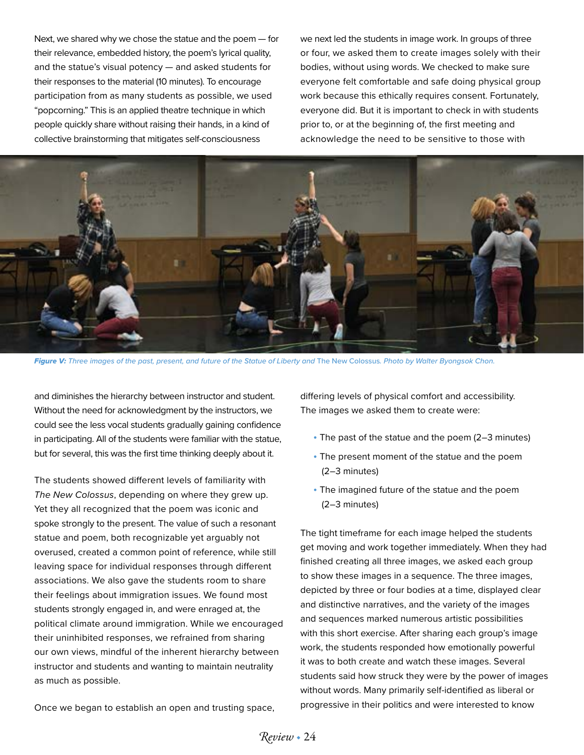Next, we shared why we chose the statue and the poem — for their relevance, embedded history, the poem's lyrical quality, and the statue's visual potency — and asked students for their responses to the material (10 minutes). To encourage participation from as many students as possible, we used "popcorning." This is an applied theatre technique in which people quickly share without raising their hands, in a kind of collective brainstorming that mitigates self-consciousness

we next led the students in image work. In groups of three or four, we asked them to create images solely with their bodies, without using words. We checked to make sure everyone felt comfortable and safe doing physical group work because this ethically requires consent. Fortunately, everyone did. But it is important to check in with students prior to, or at the beginning of, the first meeting and acknowledge the need to be sensitive to those with



Figure V: Three images of the past, present, and future of the Statue of Liberty and The New Colossus. Photo by Walter Byongsok Chon.

and diminishes the hierarchy between instructor and student. Without the need for acknowledgment by the instructors, we could see the less vocal students gradually gaining confidence in participating. All of the students were familiar with the statue, but for several, this was the first time thinking deeply about it.

The students showed different levels of familiarity with *The New Colossus*, depending on where they grew up. Yet they all recognized that the poem was iconic and spoke strongly to the present. The value of such a resonant statue and poem, both recognizable yet arguably not overused, created a common point of reference, while still leaving space for individual responses through different associations. We also gave the students room to share their feelings about immigration issues. We found most students strongly engaged in, and were enraged at, the political climate around immigration. While we encouraged their uninhibited responses, we refrained from sharing our own views, mindful of the inherent hierarchy between instructor and students and wanting to maintain neutrality as much as possible.

Once we began to establish an open and trusting space,

differing levels of physical comfort and accessibility. The images we asked them to create were:

- The past of the statue and the poem (2–3 minutes)
- The present moment of the statue and the poem (2–3 minutes)
- The imagined future of the statue and the poem (2–3 minutes)

The tight timeframe for each image helped the students get moving and work together immediately. When they had finished creating all three images, we asked each group to show these images in a sequence. The three images, depicted by three or four bodies at a time, displayed clear and distinctive narratives, and the variety of the images and sequences marked numerous artistic possibilities with this short exercise. After sharing each group's image work, the students responded how emotionally powerful it was to both create and watch these images. Several students said how struck they were by the power of images without words. Many primarily self-identified as liberal or progressive in their politics and were interested to know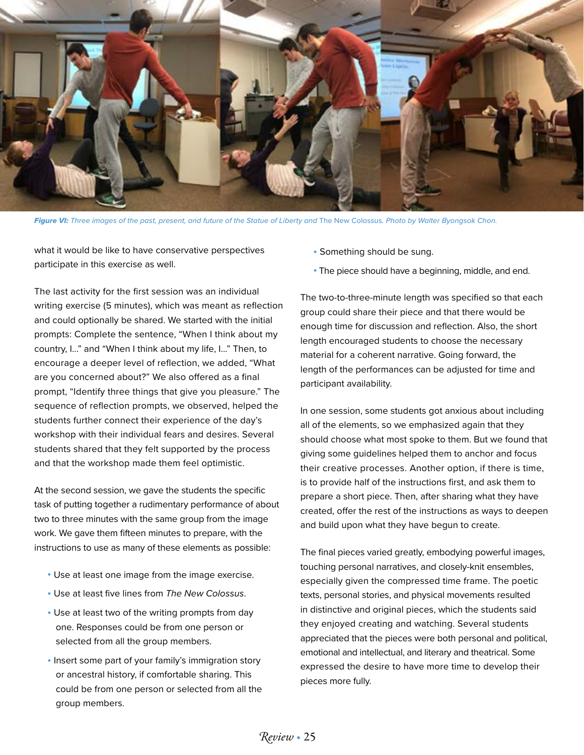

Figure VI: Three images of the past, present, and future of the Statue of Liberty and The New Colossus. Photo by Walter Byongsok Chon.

what it would be like to have conservative perspectives participate in this exercise as well.

The last activity for the first session was an individual writing exercise (5 minutes), which was meant as reflection and could optionally be shared. We started with the initial prompts: Complete the sentence, "When I think about my country, I..." and "When I think about my life, I..." Then, to encourage a deeper level of reflection, we added, "What are you concerned about?" We also offered as a final prompt, "Identify three things that give you pleasure." The sequence of reflection prompts, we observed, helped the students further connect their experience of the day's workshop with their individual fears and desires. Several students shared that they felt supported by the process and that the workshop made them feel optimistic.

At the second session, we gave the students the specific task of putting together a rudimentary performance of about two to three minutes with the same group from the image work. We gave them fifteen minutes to prepare, with the instructions to use as many of these elements as possible:

- Use at least one image from the image exercise.
- Use at least five lines from *The New Colossus*.
- Use at least two of the writing prompts from day one. Responses could be from one person or selected from all the group members.
- Insert some part of your family's immigration story or ancestral history, if comfortable sharing. This could be from one person or selected from all the group members.
- Something should be sung.
- The piece should have a beginning, middle, and end.

The two-to-three-minute length was specified so that each group could share their piece and that there would be enough time for discussion and reflection. Also, the short length encouraged students to choose the necessary material for a coherent narrative. Going forward, the length of the performances can be adjusted for time and participant availability.

In one session, some students got anxious about including all of the elements, so we emphasized again that they should choose what most spoke to them. But we found that giving some guidelines helped them to anchor and focus their creative processes. Another option, if there is time, is to provide half of the instructions first, and ask them to prepare a short piece. Then, after sharing what they have created, offer the rest of the instructions as ways to deepen and build upon what they have begun to create.

The final pieces varied greatly, embodying powerful images, touching personal narratives, and closely-knit ensembles, especially given the compressed time frame. The poetic texts, personal stories, and physical movements resulted in distinctive and original pieces, which the students said they enjoyed creating and watching. Several students appreciated that the pieces were both personal and political, emotional and intellectual, and literary and theatrical. Some expressed the desire to have more time to develop their pieces more fully.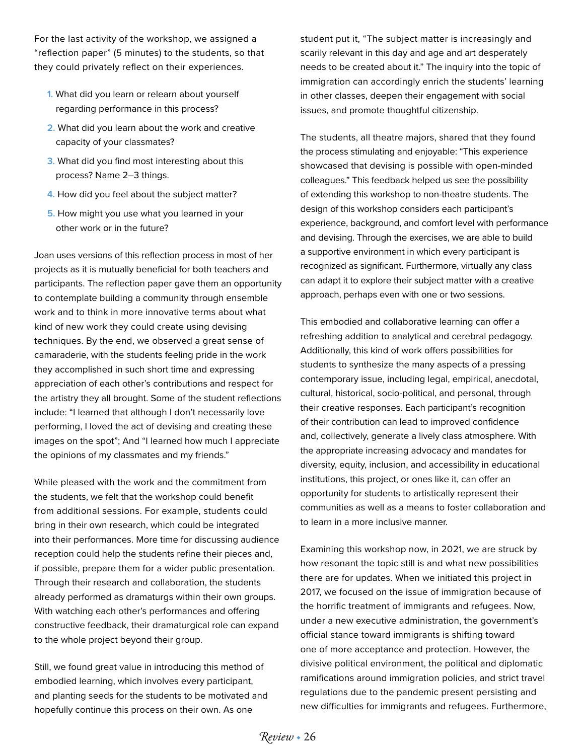For the last activity of the workshop, we assigned a "reflection paper" (5 minutes) to the students, so that they could privately reflect on their experiences.

- **1.** What did you learn or relearn about yourself regarding performance in this process?
- **2.** What did you learn about the work and creative capacity of your classmates?
- **3.** What did you find most interesting about this process? Name 2–3 things.
- **4.** How did you feel about the subject matter?
- **5.** How might you use what you learned in your other work or in the future?

Joan uses versions of this reflection process in most of her projects as it is mutually beneficial for both teachers and participants. The reflection paper gave them an opportunity to contemplate building a community through ensemble work and to think in more innovative terms about what kind of new work they could create using devising techniques. By the end, we observed a great sense of camaraderie, with the students feeling pride in the work they accomplished in such short time and expressing appreciation of each other's contributions and respect for the artistry they all brought. Some of the student reflections include: "I learned that although I don't necessarily love performing, I loved the act of devising and creating these images on the spot"; And "I learned how much I appreciate the opinions of my classmates and my friends."

While pleased with the work and the commitment from the students, we felt that the workshop could benefit from additional sessions. For example, students could bring in their own research, which could be integrated into their performances. More time for discussing audience reception could help the students refine their pieces and, if possible, prepare them for a wider public presentation. Through their research and collaboration, the students already performed as dramaturgs within their own groups. With watching each other's performances and offering constructive feedback, their dramaturgical role can expand to the whole project beyond their group.

Still, we found great value in introducing this method of embodied learning, which involves every participant, and planting seeds for the students to be motivated and hopefully continue this process on their own. As one

student put it, "The subject matter is increasingly and scarily relevant in this day and age and art desperately needs to be created about it." The inquiry into the topic of immigration can accordingly enrich the students' learning in other classes, deepen their engagement with social issues, and promote thoughtful citizenship.

The students, all theatre majors, shared that they found the process stimulating and enjoyable: "This experience showcased that devising is possible with open-minded colleagues." This feedback helped us see the possibility of extending this workshop to non-theatre students. The design of this workshop considers each participant's experience, background, and comfort level with performance and devising. Through the exercises, we are able to build a supportive environment in which every participant is recognized as significant. Furthermore, virtually any class can adapt it to explore their subject matter with a creative approach, perhaps even with one or two sessions.

This embodied and collaborative learning can offer a refreshing addition to analytical and cerebral pedagogy. Additionally, this kind of work offers possibilities for students to synthesize the many aspects of a pressing contemporary issue, including legal, empirical, anecdotal, cultural, historical, socio-political, and personal, through their creative responses. Each participant's recognition of their contribution can lead to improved confidence and, collectively, generate a lively class atmosphere. With the appropriate increasing advocacy and mandates for diversity, equity, inclusion, and accessibility in educational institutions, this project, or ones like it, can offer an opportunity for students to artistically represent their communities as well as a means to foster collaboration and to learn in a more inclusive manner.

Examining this workshop now, in 2021, we are struck by how resonant the topic still is and what new possibilities there are for updates. When we initiated this project in 2017, we focused on the issue of immigration because of the horrific treatment of immigrants and refugees. Now, under a new executive administration, the government's official stance toward immigrants is shifting toward one of more acceptance and protection. However, the divisive political environment, the political and diplomatic ramifications around immigration policies, and strict travel regulations due to the pandemic present persisting and new difficulties for immigrants and refugees. Furthermore,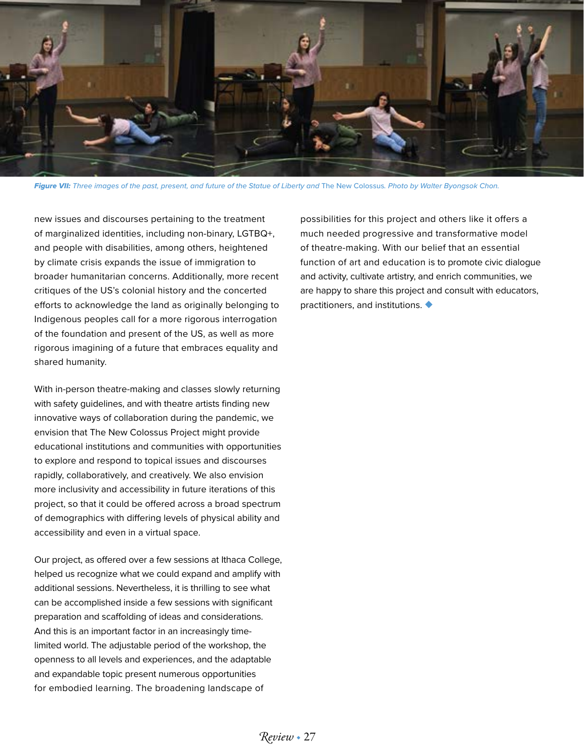

**Figure VII:** Three images of the past, present, and future of the Statue of Liberty and The New Colossus. Photo by Walter Byongsok Chon.

new issues and discourses pertaining to the treatment of marginalized identities, including non-binary, LGTBQ+, and people with disabilities, among others, heightened by climate crisis expands the issue of immigration to broader humanitarian concerns. Additionally, more recent critiques of the US's colonial history and the concerted efforts to acknowledge the land as originally belonging to Indigenous peoples call for a more rigorous interrogation of the foundation and present of the US, as well as more rigorous imagining of a future that embraces equality and shared humanity.

With in-person theatre-making and classes slowly returning with safety guidelines, and with theatre artists finding new innovative ways of collaboration during the pandemic, we envision that The New Colossus Project might provide educational institutions and communities with opportunities to explore and respond to topical issues and discourses rapidly, collaboratively, and creatively. We also envision more inclusivity and accessibility in future iterations of this project, so that it could be offered across a broad spectrum of demographics with differing levels of physical ability and accessibility and even in a virtual space.

Our project, as offered over a few sessions at Ithaca College, helped us recognize what we could expand and amplify with additional sessions. Nevertheless, it is thrilling to see what can be accomplished inside a few sessions with significant preparation and scaffolding of ideas and considerations. And this is an important factor in an increasingly timelimited world. The adjustable period of the workshop, the openness to all levels and experiences, and the adaptable and expandable topic present numerous opportunities for embodied learning. The broadening landscape of

possibilities for this project and others like it offers a much needed progressive and transformative model of theatre-making. With our belief that an essential function of art and education is to promote civic dialogue and activity, cultivate artistry, and enrich communities, we are happy to share this project and consult with educators, practitioners, and institutions. ◆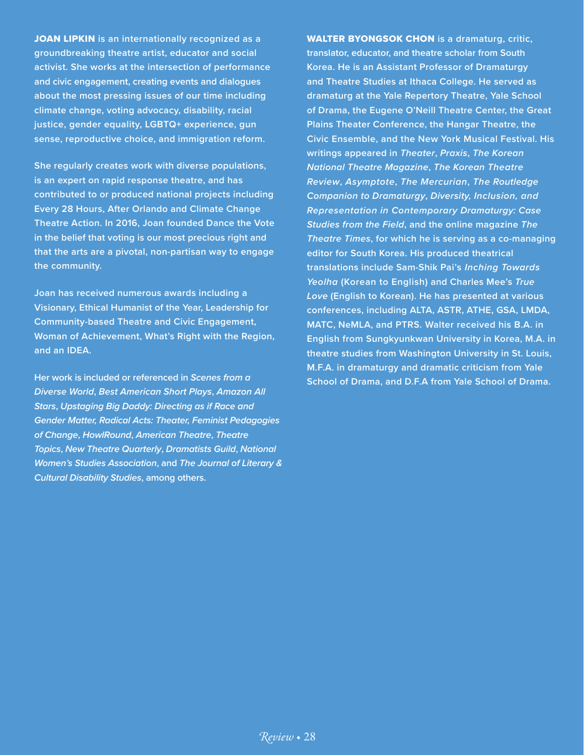JOAN LIPKIN **is an internationally recognized as a groundbreaking theatre artist, educator and social activist. She works at the intersection of performance and civic engagement, creating events and dialogues about the most pressing issues of our time including climate change, voting advocacy, disability, racial justice, gender equality, LGBTQ+ experience, gun sense, reproductive choice, and immigration reform.**

**She regularly creates work with diverse populations, is an expert on rapid response theatre, and has contributed to or produced national projects including Every 28 Hours, After Orlando and Climate Change Theatre Action. In 2016, Joan founded Dance the Vote in the belief that voting is our most precious right and that the arts are a pivotal, non-partisan way to engage the community.**

**Joan has received numerous awards including a Visionary, Ethical Humanist of the Year, Leadership for Community-based Theatre and Civic Engagement, Woman of Achievement, What's Right with the Region, and an IDEA.**

**Her work is included or referenced in** *Scenes from a Diverse World***,** *Best American Short Plays***,** *Amazon All Stars***,** *Upstaging Big Daddy: Directing as if Race and Gender Matter, Radical Acts: Theater, Feminist Pedagogies of Change***,** *HowlRound***,** *American Theatre***,** *Theatre Topics***,** *New Theatre Quarterly***,** *Dramatists Guild***,** *National Women's Studies Association***, and** *The Journal of Literary & Cultural Disability Studies***, among others.**

WALTER BYONGSOK CHON **is a dramaturg, critic, translator, educator, and theatre scholar from South Korea. He is an Assistant Professor of Dramaturgy and Theatre Studies at Ithaca College. He served as dramaturg at the Yale Repertory Theatre, Yale School of Drama, the Eugene O'Neill Theatre Center, the Great Plains Theater Conference, the Hangar Theatre, the Civic Ensemble, and the New York Musical Festival. His writings appeared in** *Theater***,** *Praxis***,** *The Korean National Theatre Magazine***,** *The Korean Theatre Review***,** *Asymptote***,** *The Mercurian***,** *The Routledge Companion to Dramaturgy***,** *Diversity, Inclusion, and Representation in Contemporary Dramaturgy: Case Studies from the Field***, and the online magazine** *The Theatre Times***, for which he is serving as a co-managing editor for South Korea. His produced theatrical translations include Sam-Shik Pai's** *Inching Towards Yeolha* **(Korean to English) and Charles Mee's** *True Love* **(English to Korean). He has presented at various conferences, including ALTA, ASTR, ATHE, GSA, LMDA, MATC, NeMLA, and PTRS. Walter received his B.A. in English from Sungkyunkwan University in Korea, M.A. in theatre studies from Washington University in St. Louis, M.F.A. in dramaturgy and dramatic criticism from Yale School of Drama, and D.F.A from Yale School of Drama.**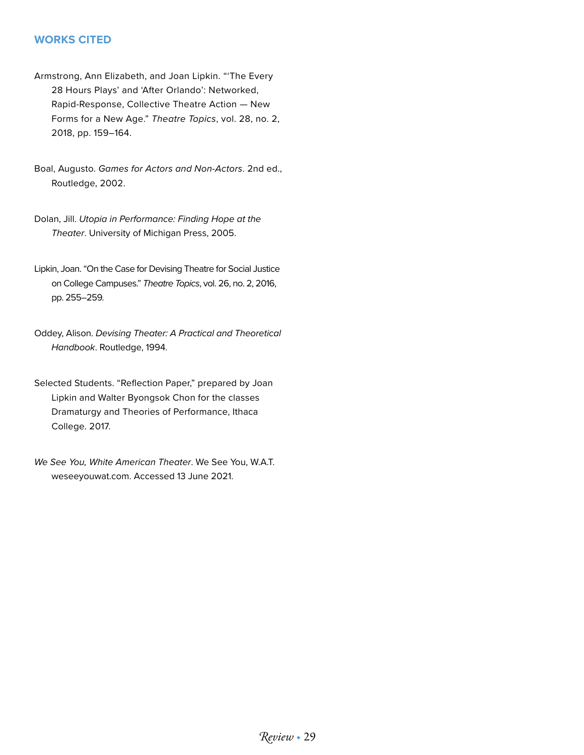## **WORKS CITED**

- Armstrong, Ann Elizabeth, and Joan Lipkin. "'The Every 28 Hours Plays' and 'After Orlando': Networked, Rapid-Response, Collective Theatre Action — New Forms for a New Age." *Theatre Topics*, vol. 28, no. 2, 2018, pp. 159–164.
- Boal, Augusto. *Games for Actors and Non-Actors*. 2nd ed., Routledge, 2002.
- Dolan, Jill. *Utopia in Performance: Finding Hope at the Theater*. University of Michigan Press, 2005.
- Lipkin, Joan. "On the Case for Devising Theatre for Social Justice on College Campuses." *Theatre Topics*, vol. 26, no. 2, 2016, pp. 255–259.
- Oddey, Alison. *Devising Theater: A Practical and Theoretical Handbook*. Routledge, 1994.
- Selected Students. "Reflection Paper," prepared by Joan Lipkin and Walter Byongsok Chon for the classes Dramaturgy and Theories of Performance, Ithaca College. 2017.
- *We See You, White American Theater*. We See You, W.A.T. weseeyouwat.com. Accessed 13 June 2021.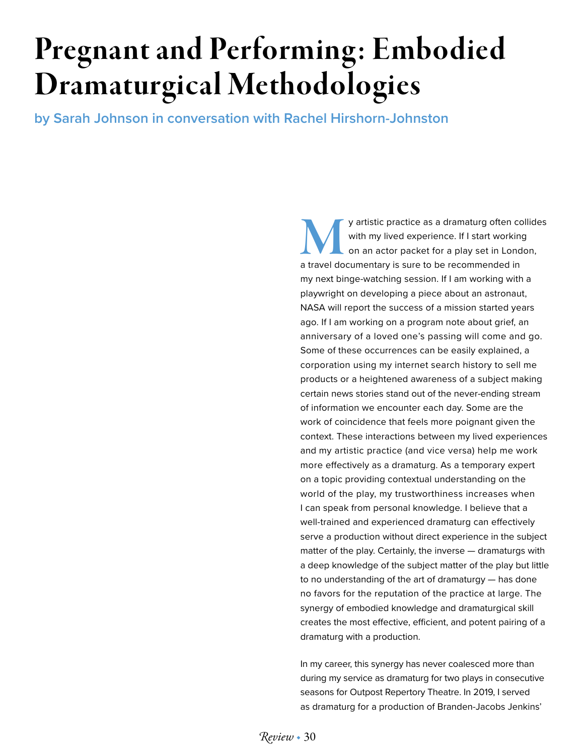# Pregnant and Performing: Embodied Dramaturgical Methodologies

**by Sarah Johnson in conversation with Rachel Hirshorn-Johnston**

y artistic practice as a dramaturg often collides with my lived experience. If I start working on an actor packet for a play set in London, a travel documentary is sure to be recommended in my next binge-watching session. If I am working with a playwright on developing a piece about an astronaut, NASA will report the success of a mission started years ago. If I am working on a program note about grief, an anniversary of a loved one's passing will come and go. Some of these occurrences can be easily explained, a corporation using my internet search history to sell me products or a heightened awareness of a subject making certain news stories stand out of the never-ending stream of information we encounter each day. Some are the work of coincidence that feels more poignant given the context. These interactions between my lived experiences and my artistic practice (and vice versa) help me work more effectively as a dramaturg. As a temporary expert on a topic providing contextual understanding on the world of the play, my trustworthiness increases when I can speak from personal knowledge. I believe that a well-trained and experienced dramaturg can effectively serve a production without direct experience in the subject matter of the play. Certainly, the inverse — dramaturgs with a deep knowledge of the subject matter of the play but little to no understanding of the art of dramaturgy — has done no favors for the reputation of the practice at large. The synergy of embodied knowledge and dramaturgical skill creates the most effective, efficient, and potent pairing of a dramaturg with a production.

In my career, this synergy has never coalesced more than during my service as dramaturg for two plays in consecutive seasons for Outpost Repertory Theatre. In 2019, I served as dramaturg for a production of Branden-Jacobs Jenkins'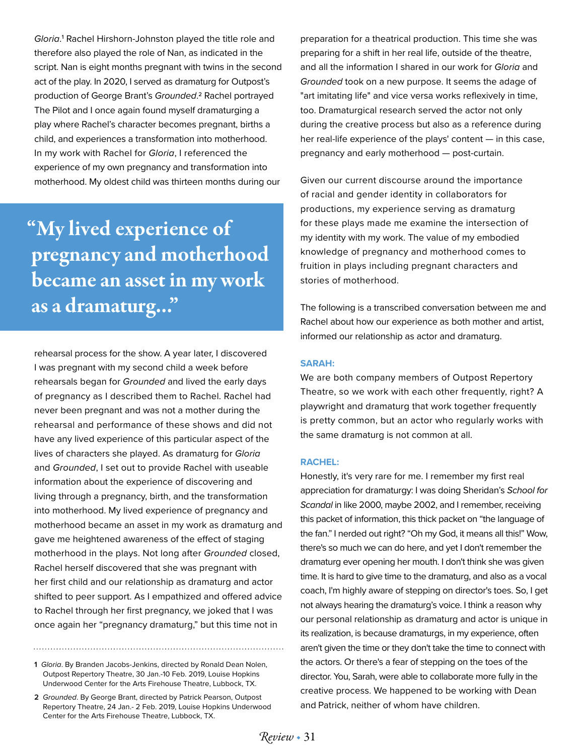*Gloria*. 1 Rachel Hirshorn-Johnston played the title role and therefore also played the role of Nan, as indicated in the script. Nan is eight months pregnant with twins in the second act of the play. In 2020, I served as dramaturg for Outpost's production of George Brant's *Grounded*. <sup>2</sup> Rachel portrayed The Pilot and I once again found myself dramaturging a play where Rachel's character becomes pregnant, births a child, and experiences a transformation into motherhood. In my work with Rachel for *Gloria*, I referenced the experience of my own pregnancy and transformation into motherhood. My oldest child was thirteen months during our

"My lived experience of pregnancy and motherhood became an asset in my work as a dramaturg..."

rehearsal process for the show. A year later, I discovered I was pregnant with my second child a week before rehearsals began for *Grounded* and lived the early days of pregnancy as I described them to Rachel. Rachel had never been pregnant and was not a mother during the rehearsal and performance of these shows and did not have any lived experience of this particular aspect of the lives of characters she played. As dramaturg for *Gloria* and *Grounded*, I set out to provide Rachel with useable information about the experience of discovering and living through a pregnancy, birth, and the transformation into motherhood. My lived experience of pregnancy and motherhood became an asset in my work as dramaturg and gave me heightened awareness of the effect of staging motherhood in the plays. Not long after *Grounded* closed, Rachel herself discovered that she was pregnant with her first child and our relationship as dramaturg and actor shifted to peer support. As I empathized and offered advice to Rachel through her first pregnancy, we joked that I was once again her "pregnancy dramaturg," but this time not in

**1** *Gloria*. By Branden Jacobs-Jenkins, directed by Ronald Dean Nolen, Outpost Repertory Theatre, 30 Jan.-10 Feb. 2019, Louise Hopkins Underwood Center for the Arts Firehouse Theatre, Lubbock, TX.

**2** *Grounded*. By George Brant, directed by Patrick Pearson, Outpost Repertory Theatre, 24 Jan.- 2 Feb. 2019, Louise Hopkins Underwood Center for the Arts Firehouse Theatre, Lubbock, TX.

preparation for a theatrical production. This time she was preparing for a shift in her real life, outside of the theatre, and all the information I shared in our work for *Gloria* and *Grounded* took on a new purpose. It seems the adage of "art imitating life" and vice versa works reflexively in time, too. Dramaturgical research served the actor not only during the creative process but also as a reference during her real-life experience of the plays' content — in this case, pregnancy and early motherhood — post-curtain.

Given our current discourse around the importance of racial and gender identity in collaborators for productions, my experience serving as dramaturg for these plays made me examine the intersection of my identity with my work. The value of my embodied knowledge of pregnancy and motherhood comes to fruition in plays including pregnant characters and stories of motherhood.

The following is a transcribed conversation between me and Rachel about how our experience as both mother and artist, informed our relationship as actor and dramaturg.

#### **SARAH:**

We are both company members of Outpost Repertory Theatre, so we work with each other frequently, right? A playwright and dramaturg that work together frequently is pretty common, but an actor who regularly works with the same dramaturg is not common at all.

#### **RACHEL:**

Honestly, it's very rare for me. I remember my first real appreciation for dramaturgy: I was doing Sheridan's *School for Scandal* in like 2000, maybe 2002, and I remember, receiving this packet of information, this thick packet on "the language of the fan." I nerded out right? "Oh my God, it means all this!" Wow, there's so much we can do here, and yet I don't remember the dramaturg ever opening her mouth. I don't think she was given time. It is hard to give time to the dramaturg, and also as a vocal coach, I'm highly aware of stepping on director's toes. So, I get not always hearing the dramaturg's voice. I think a reason why our personal relationship as dramaturg and actor is unique in its realization, is because dramaturgs, in my experience, often aren't given the time or they don't take the time to connect with the actors. Or there's a fear of stepping on the toes of the director. You, Sarah, were able to collaborate more fully in the creative process. We happened to be working with Dean and Patrick, neither of whom have children.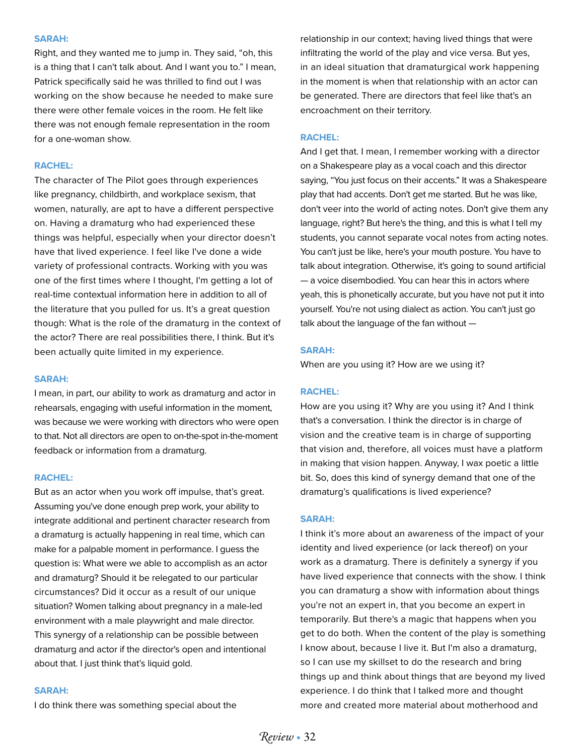#### **SARAH:**

Right, and they wanted me to jump in. They said, "oh, this is a thing that I can't talk about. And I want you to." I mean, Patrick specifically said he was thrilled to find out I was working on the show because he needed to make sure there were other female voices in the room. He felt like there was not enough female representation in the room for a one-woman show.

#### **RACHEL:**

The character of The Pilot goes through experiences like pregnancy, childbirth, and workplace sexism, that women, naturally, are apt to have a different perspective on. Having a dramaturg who had experienced these things was helpful, especially when your director doesn't have that lived experience. I feel like I've done a wide variety of professional contracts. Working with you was one of the first times where I thought, I'm getting a lot of real-time contextual information here in addition to all of the literature that you pulled for us. It's a great question though: What is the role of the dramaturg in the context of the actor? There are real possibilities there, I think. But it's been actually quite limited in my experience.

#### **SARAH:**

I mean, in part, our ability to work as dramaturg and actor in rehearsals, engaging with useful information in the moment, was because we were working with directors who were open to that. Not all directors are open to on-the-spot in-the-moment feedback or information from a dramaturg.

#### **RACHEL:**

But as an actor when you work off impulse, that's great. Assuming you've done enough prep work, your ability to integrate additional and pertinent character research from a dramaturg is actually happening in real time, which can make for a palpable moment in performance. I guess the question is: What were we able to accomplish as an actor and dramaturg? Should it be relegated to our particular circumstances? Did it occur as a result of our unique situation? Women talking about pregnancy in a male-led environment with a male playwright and male director. This synergy of a relationship can be possible between dramaturg and actor if the director's open and intentional about that. I just think that's liquid gold.

#### **SARAH:**

I do think there was something special about the

relationship in our context; having lived things that were infiltrating the world of the play and vice versa. But yes, in an ideal situation that dramaturgical work happening in the moment is when that relationship with an actor can be generated. There are directors that feel like that's an encroachment on their territory.

#### **RACHEL:**

And I get that. I mean, I remember working with a director on a Shakespeare play as a vocal coach and this director saying, "You just focus on their accents." It was a Shakespeare play that had accents. Don't get me started. But he was like, don't veer into the world of acting notes. Don't give them any language, right? But here's the thing, and this is what I tell my students, you cannot separate vocal notes from acting notes. You can't just be like, here's your mouth posture. You have to talk about integration. Otherwise, it's going to sound artificial — a voice disembodied. You can hear this in actors where yeah, this is phonetically accurate, but you have not put it into yourself. You're not using dialect as action. You can't just go talk about the language of the fan without —

#### **SARAH:**

When are you using it? How are we using it?

#### **RACHEL:**

How are you using it? Why are you using it? And I think that's a conversation. I think the director is in charge of vision and the creative team is in charge of supporting that vision and, therefore, all voices must have a platform in making that vision happen. Anyway, I wax poetic a little bit. So, does this kind of synergy demand that one of the dramaturg's qualifications is lived experience?

#### **SARAH:**

I think it's more about an awareness of the impact of your identity and lived experience (or lack thereof) on your work as a dramaturg. There is definitely a synergy if you have lived experience that connects with the show. I think you can dramaturg a show with information about things you're not an expert in, that you become an expert in temporarily. But there's a magic that happens when you get to do both. When the content of the play is something I know about, because I live it. But I'm also a dramaturg, so I can use my skillset to do the research and bring things up and think about things that are beyond my lived experience. I do think that I talked more and thought more and created more material about motherhood and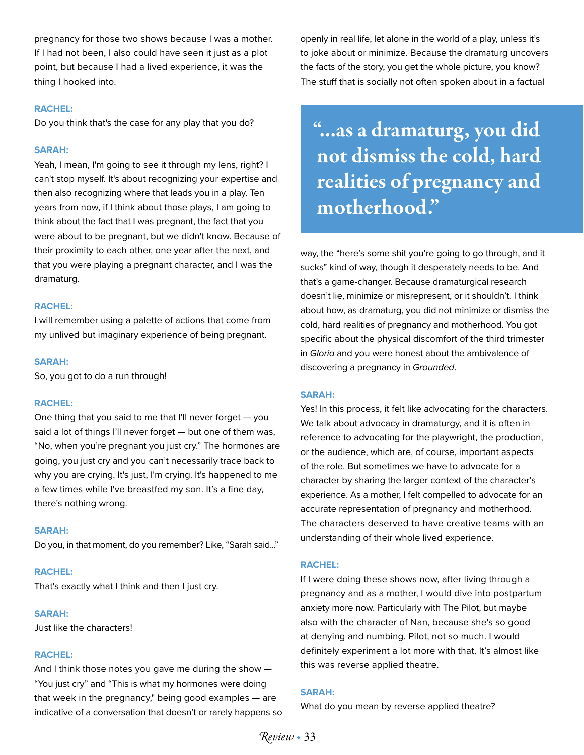pregnancy for those two shows because I was a mother. If I had not been, I also could have seen it just as a plot point, but because I had a lived experience, it was the thing I hooked into.

#### **RACHEL:**

Do you think that's the case for any play that you do?

#### **SARAH:**

Yeah, I mean, I'm going to see it through my lens, right? I can't stop myself. It's about recognizing your expertise and then also recognizing where that leads you in a play. Ten years from now, if I think about those plays, I am going to think about the fact that I was pregnant, the fact that you were about to be pregnant, but we didn't know. Because of their proximity to each other, one year after the next, and that you were playing a pregnant character, and I was the dramaturg.

#### **RACHEL:**

I will remember using a palette of actions that come from my unlived but imaginary experience of being pregnant.

#### **SARAH:**

So, you got to do a run through!

#### **RACHEL:**

One thing that you said to me that I'll never forget — you said a lot of things I'll never forget — but one of them was, "No, when you're pregnant you just cry." The hormones are going, you just cry and you can't necessarily trace back to why you are crying. It's just, I'm crying. It's happened to me a few times while I've breastfed my son. It's a fine day, there's nothing wrong.

#### **SARAH:**

Do you, in that moment, do you remember? Like, "Sarah said..."

#### **RACHEL:**

That's exactly what I think and then I just cry.

#### **SARAH:**

Just like the characters!

#### **RACHEL:**

And I think those notes you gave me during the show — "You just cry" and "This is what my hormones were doing that week in the pregnancy," being good examples — are indicative of a conversation that doesn't or rarely happens so openly in real life, let alone in the world of a play, unless it's to joke about or minimize. Because the dramaturg uncovers the facts of the story, you get the whole picture, you know? The stuff that is socially not often spoken about in a factual

"...as a dramaturg, you did not dismiss the cold, hard realities of pregnancy and motherhood."

way, the "here's some shit you're going to go through, and it sucks" kind of way, though it desperately needs to be. And that's a game-changer. Because dramaturgical research doesn't lie, minimize or misrepresent, or it shouldn't. I think about how, as dramaturg, you did not minimize or dismiss the cold, hard realities of pregnancy and motherhood. You got specific about the physical discomfort of the third trimester in *Gloria* and you were honest about the ambivalence of discovering a pregnancy in *Grounded*.

#### **SARAH:**

Yes! In this process, it felt like advocating for the characters. We talk about advocacy in dramaturgy, and it is often in reference to advocating for the playwright, the production, or the audience, which are, of course, important aspects of the role. But sometimes we have to advocate for a character by sharing the larger context of the character's experience. As a mother, I felt compelled to advocate for an accurate representation of pregnancy and motherhood. The characters deserved to have creative teams with an understanding of their whole lived experience.

#### **RACHEL:**

If I were doing these shows now, after living through a pregnancy and as a mother, I would dive into postpartum anxiety more now. Particularly with The Pilot, but maybe also with the character of Nan, because she's so good at denying and numbing. Pilot, not so much. I would definitely experiment a lot more with that. It's almost like this was reverse applied theatre.

#### **SARAH:**

What do you mean by reverse applied theatre?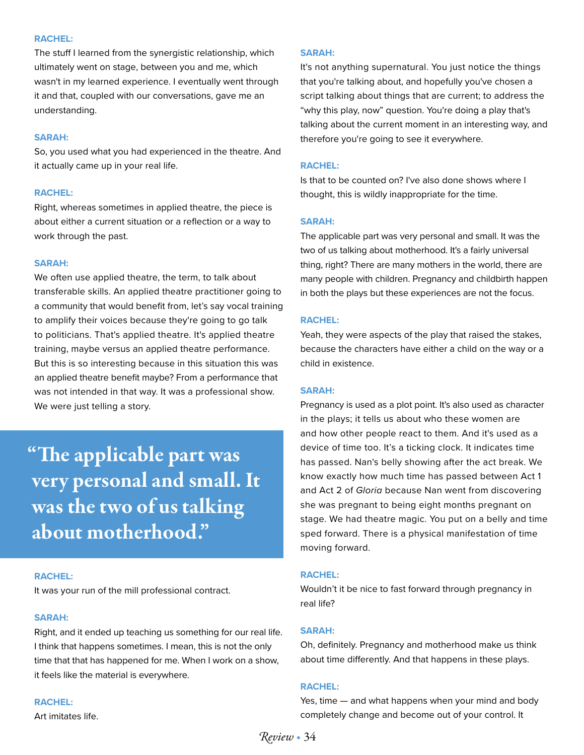#### **RACHEL:**

The stuff I learned from the synergistic relationship, which ultimately went on stage, between you and me, which wasn't in my learned experience. I eventually went through it and that, coupled with our conversations, gave me an understanding.

#### **SARAH:**

So, you used what you had experienced in the theatre. And it actually came up in your real life.

#### **RACHEL:**

Right, whereas sometimes in applied theatre, the piece is about either a current situation or a reflection or a way to work through the past.

#### **SARAH:**

We often use applied theatre, the term, to talk about transferable skills. An applied theatre practitioner going to a community that would benefit from, let's say vocal training to amplify their voices because they're going to go talk to politicians. That's applied theatre. It's applied theatre training, maybe versus an applied theatre performance. But this is so interesting because in this situation this was an applied theatre benefit maybe? From a performance that was not intended in that way. It was a professional show. We were just telling a story.

"The applicable part was very personal and small. It was the two of us talking about motherhood."

#### **RACHEL:**

It was your run of the mill professional contract.

#### **SARAH:**

Right, and it ended up teaching us something for our real life. I think that happens sometimes. I mean, this is not the only time that that has happened for me. When I work on a show, it feels like the material is everywhere.

#### **RACHEL:**

Art imitates life.

#### **SARAH:**

It's not anything supernatural. You just notice the things that you're talking about, and hopefully you've chosen a script talking about things that are current; to address the "why this play, now" question. You're doing a play that's talking about the current moment in an interesting way, and therefore you're going to see it everywhere.

#### **RACHEL:**

Is that to be counted on? I've also done shows where I thought, this is wildly inappropriate for the time.

#### **SARAH:**

The applicable part was very personal and small. It was the two of us talking about motherhood. It's a fairly universal thing, right? There are many mothers in the world, there are many people with children. Pregnancy and childbirth happen in both the plays but these experiences are not the focus.

#### **RACHEL:**

Yeah, they were aspects of the play that raised the stakes, because the characters have either a child on the way or a child in existence.

#### **SARAH:**

Pregnancy is used as a plot point. It's also used as character in the plays; it tells us about who these women are and how other people react to them. And it's used as a device of time too. It's a ticking clock. It indicates time has passed. Nan's belly showing after the act break. We know exactly how much time has passed between Act 1 and Act 2 of *Gloria* because Nan went from discovering she was pregnant to being eight months pregnant on stage. We had theatre magic. You put on a belly and time sped forward. There is a physical manifestation of time moving forward.

#### **RACHEL:**

Wouldn't it be nice to fast forward through pregnancy in real life?

#### **SARAH:**

Oh, definitely. Pregnancy and motherhood make us think about time differently. And that happens in these plays.

#### **RACHEL:**

Yes, time — and what happens when your mind and body completely change and become out of your control. It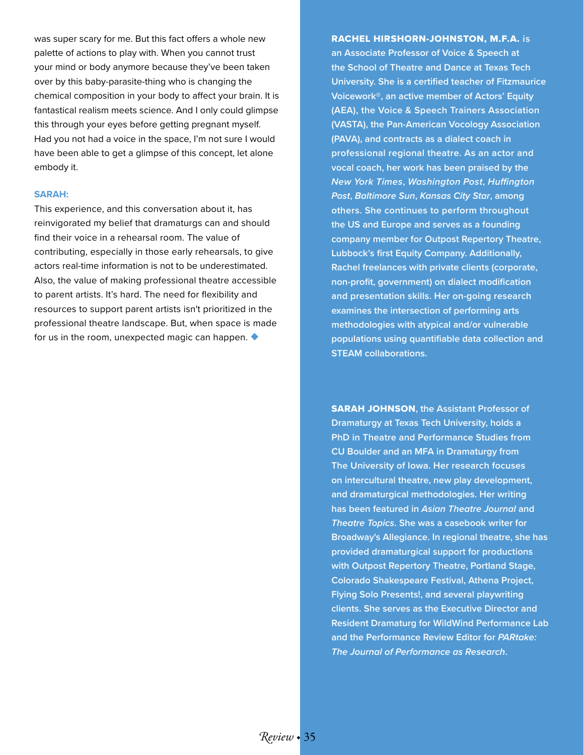was super scary for me. But this fact offers a whole new palette of actions to play with. When you cannot trust your mind or body anymore because they've been taken over by this baby-parasite-thing who is changing the chemical composition in your body to affect your brain. It is fantastical realism meets science. And I only could glimpse this through your eyes before getting pregnant myself. Had you not had a voice in the space, I'm not sure I would have been able to get a glimpse of this concept, let alone embody it.

#### **SARAH:**

This experience, and this conversation about it, has reinvigorated my belief that dramaturgs can and should find their voice in a rehearsal room. The value of contributing, especially in those early rehearsals, to give actors real-time information is not to be underestimated. Also, the value of making professional theatre accessible to parent artists. It's hard. The need for flexibility and resources to support parent artists isn't prioritized in the professional theatre landscape. But, when space is made for us in the room, unexpected magic can happen. ◆

# RACHEL HIRSHORN-JOHNSTON, M.F.A. **is**

**an Associate Professor of Voice & Speech at the School of Theatre and Dance at Texas Tech University. She is a certified teacher of Fitzmaurice Voicework®, an active member of Actors' Equity (AEA), the Voice & Speech Trainers Association (VASTA), the Pan-American Vocology Association (PAVA), and contracts as a dialect coach in professional regional theatre. As an actor and vocal coach, her work has been praised by the**  *New York Times***,** *Washington Post***,** *Huffington Post***,** *Baltimore Sun***,** *Kansas City Star***, among others. She continues to perform throughout the US and Europe and serves as a founding company member for Outpost Repertory Theatre, Lubbock's first Equity Company. Additionally, Rachel freelances with private clients (corporate, non-profit, government) on dialect modification and presentation skills. Her on-going research examines the intersection of performing arts methodologies with atypical and/or vulnerable populations using quantifiable data collection and STEAM collaborations.** 

SARAH JOHNSON**, the Assistant Professor of Dramaturgy at Texas Tech University, holds a PhD in Theatre and Performance Studies from CU Boulder and an MFA in Dramaturgy from The University of Iowa. Her research focuses on intercultural theatre, new play development, and dramaturgical methodologies. Her writing has been featured in** *Asian Theatre Journal* **and**  *Theatre Topics***. She was a casebook writer for Broadway's Allegiance. In regional theatre, she has provided dramaturgical support for productions with Outpost Repertory Theatre, Portland Stage, Colorado Shakespeare Festival, Athena Project, Flying Solo Presents!, and several playwriting clients. She serves as the Executive Director and Resident Dramaturg for WildWind Performance Lab and the Performance Review Editor for** *PARtake: The Journal of Performance as Research***.**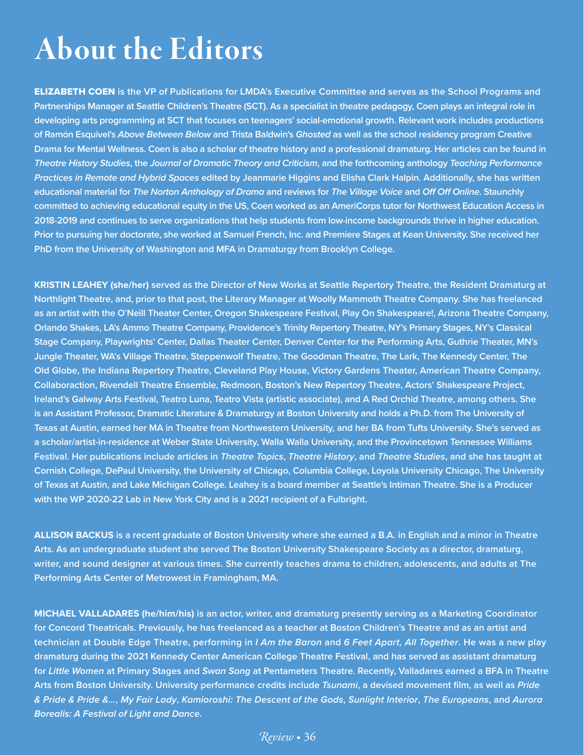# About the Editors

ELIZABETH COEN **is the VP of Publications for LMDA's Executive Committee and serves as the School Programs and Partnerships Manager at Seattle Children's Theatre (SCT). As a specialist in theatre pedagogy, Coen plays an integral role in developing arts programming at SCT that focuses on teenagers' social-emotional growth. Relevant work includes productions of Ramón Esquivel's** *Above Between Below* **and Trista Baldwin's** *Ghosted* **as well as the school residency program Creative Drama for Mental Wellness. Coen is also a scholar of theatre history and a professional dramaturg. Her articles can be found in**  *Theatre History Studies***, the** *Journal of Dramatic Theory and Criticism***, and the forthcoming anthology** *Teaching Performance Practices in Remote and Hybrid Spaces* **edited by Jeanmarie Higgins and Elisha Clark Halpin. Additionally, she has written educational material for** *The Norton Anthology of Drama* **and reviews for** *The Village Voice* **and** *Off Off Online***. Staunchly committed to achieving educational equity in the US, Coen worked as an AmeriCorps tutor for Northwest Education Access in 2018-2019 and continues to serve organizations that help students from low-income backgrounds thrive in higher education. Prior to pursuing her doctorate, she worked at Samuel French, Inc. and Premiere Stages at Kean University. She received her PhD from the University of Washington and MFA in Dramaturgy from Brooklyn College.**

**KRISTIN LEAHEY (she/her) served as the Director of New Works at Seattle Repertory Theatre, the Resident Dramaturg at Northlight Theatre, and, prior to that post, the Literary Manager at Woolly Mammoth Theatre Company. She has freelanced as an artist with the O'Neill Theater Center, Oregon Shakespeare Festival, Play On Shakespeare!, Arizona Theatre Company, Orlando Shakes, LA's Ammo Theatre Company, Providence's Trinity Repertory Theatre, NY's Primary Stages, NY's Classical Stage Company, Playwrights' Center, Dallas Theater Center, Denver Center for the Performing Arts, Guthrie Theater, MN's Jungle Theater, WA's Village Theatre, Steppenwolf Theatre, The Goodman Theatre, The Lark, The Kennedy Center, The Old Globe, the Indiana Repertory Theatre, Cleveland Play House, Victory Gardens Theater, American Theatre Company, Collaboraction, Rivendell Theatre Ensemble, Redmoon, Boston's New Repertory Theatre, Actors' Shakespeare Project, Ireland's Galway Arts Festival, Teatro Luna, Teatro Vista (artistic associate), and A Red Orchid Theatre, among others. She is an Assistant Professor, Dramatic Literature & Dramaturgy at Boston University and holds a Ph.D. from The University of Texas at Austin, earned her MA in Theatre from Northwestern University, and her BA from Tufts University. She's served as a scholar/artist-in-residence at Weber State University, Walla Walla University, and the Provincetown Tennessee Williams Festival. Her publications include articles in** *Theatre Topics***,** *Theatre History***, and** *Theatre Studies***, and she has taught at Cornish College, DePaul University, the University of Chicago, Columbia College, Loyola University Chicago, The University of Texas at Austin, and Lake Michigan College. Leahey is a board member at Seattle's Intiman Theatre. She is a Producer with the WP 2020-22 Lab in New York City and is a 2021 recipient of a Fulbright.**

**ALLISON BACKUS is a recent graduate of Boston University where she earned a B.A. in English and a minor in Theatre Arts. As an undergraduate student she served The Boston University Shakespeare Society as a director, dramaturg, writer, and sound designer at various times. She currently teaches drama to children, adolescents, and adults at The Performing Arts Center of Metrowest in Framingham, MA.**

**MICHAEL VALLADARES (he/him/his) is an actor, writer, and dramaturg presently serving as a Marketing Coordinator for Concord Theatricals. Previously, he has freelanced as a teacher at Boston Children's Theatre and as an artist and technician at Double Edge Theatre, performing in** *I Am the Baron* **and** *6 Feet Apart, All Together***. He was a new play dramaturg during the 2021 Kennedy Center American College Theatre Festival, and has served as assistant dramaturg for** *Little Women* **at Primary Stages and** *Swan Song* **at Pentameters Theatre. Recently, Valladares earned a BFA in Theatre Arts from Boston University. University performance credits include** *Tsunami***, a devised movement film, as well as** *Pride & Pride & Pride &…***,** *My Fair Lady***,** *Kamioroshi: The Descent of the Gods***,** *Sunlight Interior***,** *The Europeans***, and** *Aurora Borealis: A Festival of Light and Dance***.**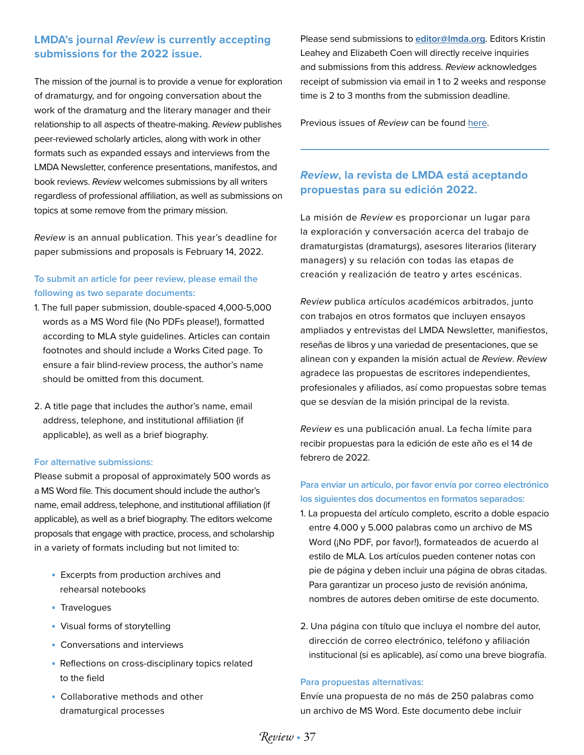# **LMDA's journal** *Review* **is currently accepting submissions for the 2022 issue.**

The mission of the journal is to provide a venue for exploration of dramaturgy, and for ongoing conversation about the work of the dramaturg and the literary manager and their relationship to all aspects of theatre-making. *Review* publishes peer-reviewed scholarly articles, along with work in other formats such as expanded essays and interviews from the LMDA Newsletter, conference presentations, manifestos, and book reviews. *Review* welcomes submissions by all writers regardless of professional affiliation, as well as submissions on topics at some remove from the primary mission.

*Review* is an annual publication. This year's deadline for paper submissions and proposals is February 14, 2022.

### **To submit an article for peer review, please email the following as two separate documents:**

- 1. The full paper submission, double-spaced 4,000-5,000 words as a MS Word file (No PDFs please!), formatted according to MLA style guidelines. Articles can contain footnotes and should include a Works Cited page. To ensure a fair blind-review process, the author's name should be omitted from this document.
- 2. A title page that includes the author's name, email address, telephone, and institutional affiliation (if applicable), as well as a brief biography.

#### **For alternative submissions:**

Please submit a proposal of approximately 500 words as a MS Word file. This document should include the author's name, email address, telephone, and institutional affiliation (if applicable), as well as a brief biography. The editors welcome proposals that engage with practice, process, and scholarship in a variety of formats including but not limited to:

- Excerpts from production archives and rehearsal notebooks
- Travelogues
- Visual forms of storytelling
- Conversations and interviews
- Reflections on cross-disciplinary topics related to the field
- Collaborative methods and other dramaturgical processes

Please send submissions to **[editor@lmda.org](mailto:editor%40lmda.org?subject=LMDA%20Submission)**. Editors Kristin Leahey and Elizabeth Coen will directly receive inquiries and submissions from this address. *Review* acknowledges receipt of submission via email in 1 to 2 weeks and response time is 2 to 3 months from the submission deadline.

Previous issues of *Review* can be found [here.](https://soundideas.pugetsound.edu/lmdareview/
)

# *Review***, la revista de LMDA está aceptando propuestas para su edición 2022.**

La misión de *Review* es proporcionar un lugar para la exploración y conversación acerca del trabajo de dramaturgistas (dramaturgs), asesores literarios (literary managers) y su relación con todas las etapas de creación y realización de teatro y artes escénicas.

*Review* publica artículos académicos arbitrados, junto con trabajos en otros formatos que incluyen ensayos ampliados y entrevistas del LMDA Newsletter, manifiestos, reseñas de libros y una variedad de presentaciones, que se alinean con y expanden la misión actual de *Review*. *Review* agradece las propuestas de escritores independientes, profesionales y afiliados, así como propuestas sobre temas que se desvían de la misión principal de la revista.

*Review* es una publicación anual. La fecha límite para recibir propuestas para la edición de este año es el 14 de febrero de 2022.

### **Para enviar un artículo, por favor envía por correo electrónico los siguientes dos documentos en formatos separados:**

- 1. La propuesta del artículo completo, escrito a doble espacio entre 4.000 y 5.000 palabras como un archivo de MS Word (¡No PDF, por favor!), formateados de acuerdo al estilo de MLA. Los artículos pueden contener notas con pie de página y deben incluir una página de obras citadas. Para garantizar un proceso justo de revisión anónima, nombres de autores deben omitirse de este documento.
- 2. Una página con título que incluya el nombre del autor, dirección de correo electrónico, teléfono y afiliación institucional (si es aplicable), así como una breve biografía.

#### **Para propuestas alternativas:**

Envíe una propuesta de no más de 250 palabras como un archivo de MS Word. Este documento debe incluir